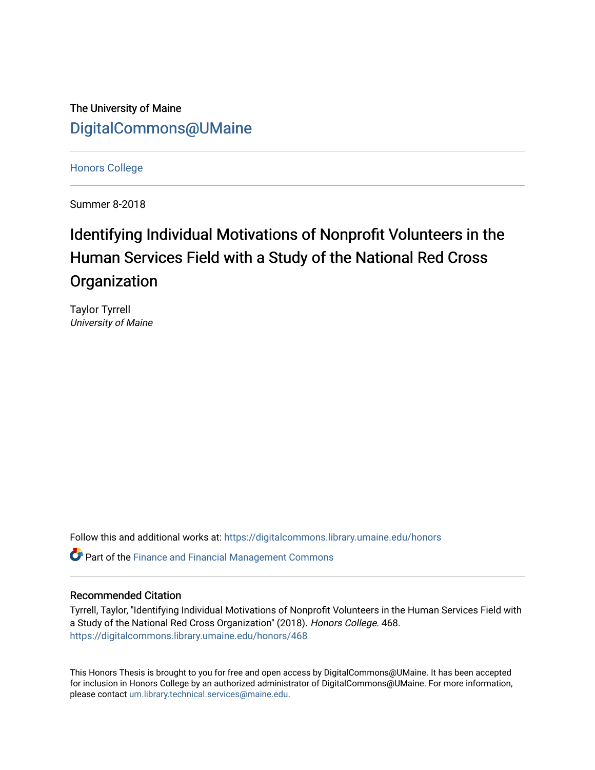The University of Maine [DigitalCommons@UMaine](https://digitalcommons.library.umaine.edu/)

[Honors College](https://digitalcommons.library.umaine.edu/honors)

Summer 8-2018

# Identifying Individual Motivations of Nonprofit Volunteers in the Human Services Field with a Study of the National Red Cross **Organization**

Taylor Tyrrell University of Maine

Follow this and additional works at: [https://digitalcommons.library.umaine.edu/honors](https://digitalcommons.library.umaine.edu/honors?utm_source=digitalcommons.library.umaine.edu%2Fhonors%2F468&utm_medium=PDF&utm_campaign=PDFCoverPages) 

**P** Part of the Finance and Financial Management Commons

# Recommended Citation

Tyrrell, Taylor, "Identifying Individual Motivations of Nonprofit Volunteers in the Human Services Field with a Study of the National Red Cross Organization" (2018). Honors College. 468. [https://digitalcommons.library.umaine.edu/honors/468](https://digitalcommons.library.umaine.edu/honors/468?utm_source=digitalcommons.library.umaine.edu%2Fhonors%2F468&utm_medium=PDF&utm_campaign=PDFCoverPages) 

This Honors Thesis is brought to you for free and open access by DigitalCommons@UMaine. It has been accepted for inclusion in Honors College by an authorized administrator of DigitalCommons@UMaine. For more information, please contact [um.library.technical.services@maine.edu.](mailto:um.library.technical.services@maine.edu)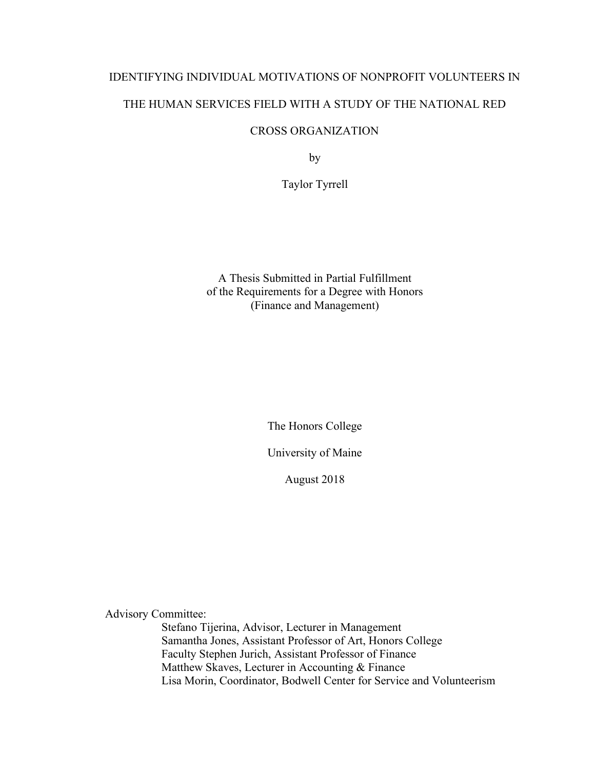# IDENTIFYING INDIVIDUAL MOTIVATIONS OF NONPROFIT VOLUNTEERS IN THE HUMAN SERVICES FIELD WITH A STUDY OF THE NATIONAL RED

# CROSS ORGANIZATION

by

Taylor Tyrrell

A Thesis Submitted in Partial Fulfillment of the Requirements for a Degree with Honors (Finance and Management)

The Honors College

University of Maine

August 2018

Advisory Committee:

Stefano Tijerina, Advisor, Lecturer in Management Samantha Jones, Assistant Professor of Art, Honors College Faculty Stephen Jurich, Assistant Professor of Finance Matthew Skaves, Lecturer in Accounting & Finance Lisa Morin, Coordinator, Bodwell Center for Service and Volunteerism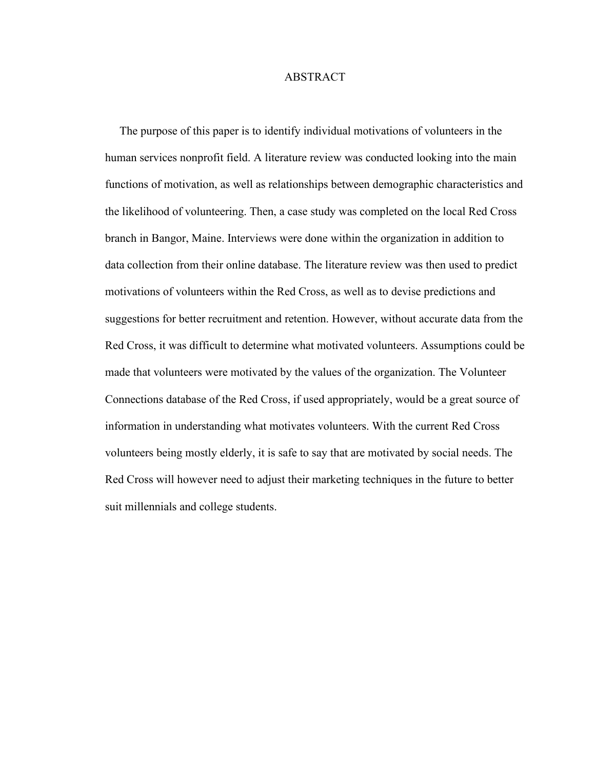## **ABSTRACT**

 The purpose of this paper is to identify individual motivations of volunteers in the human services nonprofit field. A literature review was conducted looking into the main functions of motivation, as well as relationships between demographic characteristics and the likelihood of volunteering. Then, a case study was completed on the local Red Cross branch in Bangor, Maine. Interviews were done within the organization in addition to data collection from their online database. The literature review was then used to predict motivations of volunteers within the Red Cross, as well as to devise predictions and suggestions for better recruitment and retention. However, without accurate data from the Red Cross, it was difficult to determine what motivated volunteers. Assumptions could be made that volunteers were motivated by the values of the organization. The Volunteer Connections database of the Red Cross, if used appropriately, would be a great source of information in understanding what motivates volunteers. With the current Red Cross volunteers being mostly elderly, it is safe to say that are motivated by social needs. The Red Cross will however need to adjust their marketing techniques in the future to better suit millennials and college students.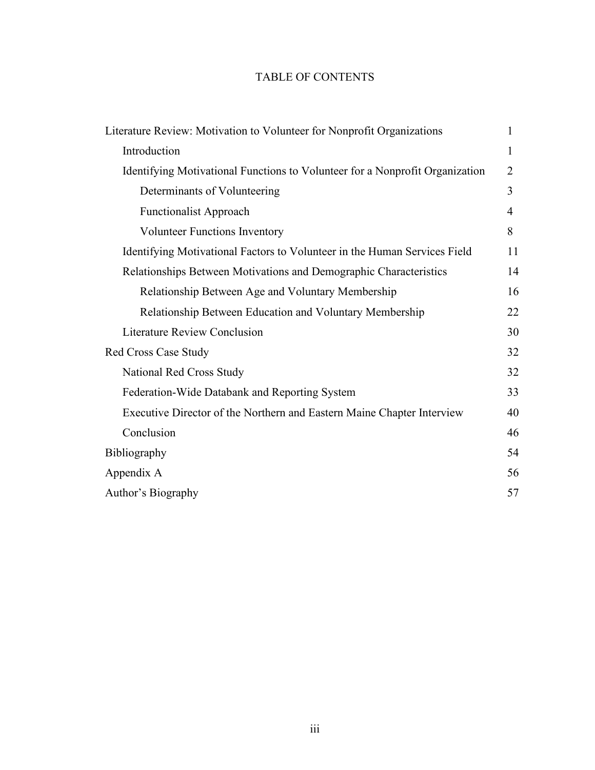# TABLE OF CONTENTS

| Literature Review: Motivation to Volunteer for Nonprofit Organizations       | 1  |
|------------------------------------------------------------------------------|----|
| Introduction                                                                 | 1  |
| Identifying Motivational Functions to Volunteer for a Nonprofit Organization | 2  |
| Determinants of Volunteering                                                 | 3  |
| <b>Functionalist Approach</b>                                                | 4  |
| <b>Volunteer Functions Inventory</b>                                         | 8  |
| Identifying Motivational Factors to Volunteer in the Human Services Field    | 11 |
| Relationships Between Motivations and Demographic Characteristics            | 14 |
| Relationship Between Age and Voluntary Membership                            | 16 |
| Relationship Between Education and Voluntary Membership                      | 22 |
| <b>Literature Review Conclusion</b>                                          | 30 |
| <b>Red Cross Case Study</b>                                                  | 32 |
| National Red Cross Study                                                     | 32 |
| Federation-Wide Databank and Reporting System                                | 33 |
| Executive Director of the Northern and Eastern Maine Chapter Interview       | 40 |
| Conclusion                                                                   | 46 |
| Bibliography                                                                 | 54 |
| Appendix A                                                                   | 56 |
| Author's Biography                                                           | 57 |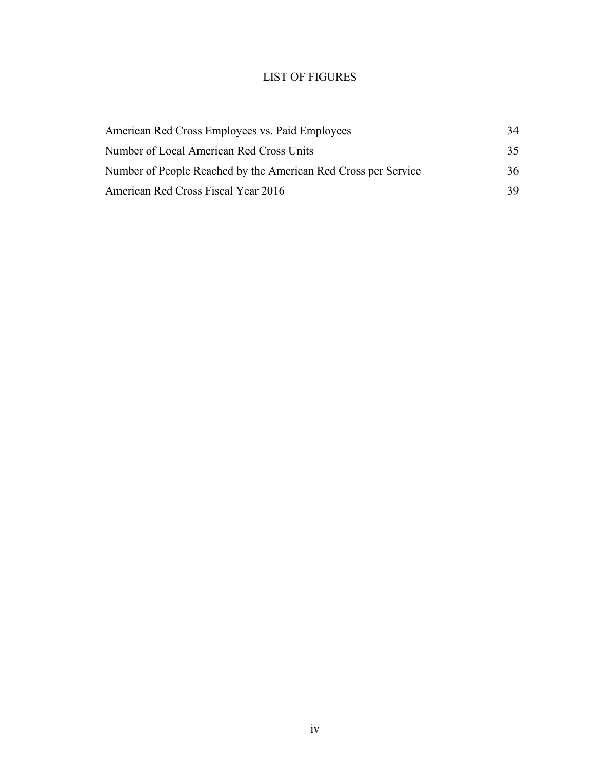# LIST OF FIGURES

| American Red Cross Employees vs. Paid Employees                | 34  |
|----------------------------------------------------------------|-----|
| Number of Local American Red Cross Units                       | 35  |
| Number of People Reached by the American Red Cross per Service | 36  |
| American Red Cross Fiscal Year 2016                            | 39. |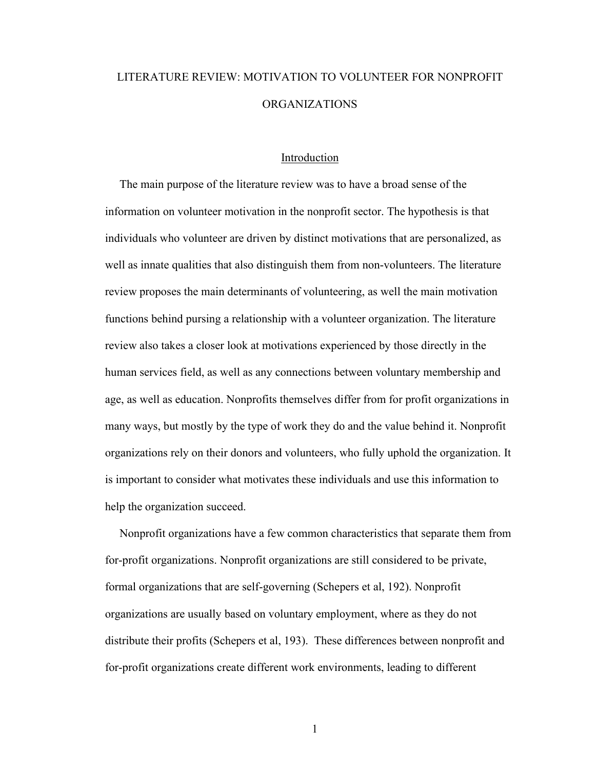# LITERATURE REVIEW: MOTIVATION TO VOLUNTEER FOR NONPROFIT ORGANIZATIONS

#### Introduction

 The main purpose of the literature review was to have a broad sense of the information on volunteer motivation in the nonprofit sector. The hypothesis is that individuals who volunteer are driven by distinct motivations that are personalized, as well as innate qualities that also distinguish them from non-volunteers. The literature review proposes the main determinants of volunteering, as well the main motivation functions behind pursing a relationship with a volunteer organization. The literature review also takes a closer look at motivations experienced by those directly in the human services field, as well as any connections between voluntary membership and age, as well as education. Nonprofits themselves differ from for profit organizations in many ways, but mostly by the type of work they do and the value behind it. Nonprofit organizations rely on their donors and volunteers, who fully uphold the organization. It is important to consider what motivates these individuals and use this information to help the organization succeed.

 Nonprofit organizations have a few common characteristics that separate them from for-profit organizations. Nonprofit organizations are still considered to be private, formal organizations that are self-governing (Schepers et al, 192). Nonprofit organizations are usually based on voluntary employment, where as they do not distribute their profits (Schepers et al, 193). These differences between nonprofit and for-profit organizations create different work environments, leading to different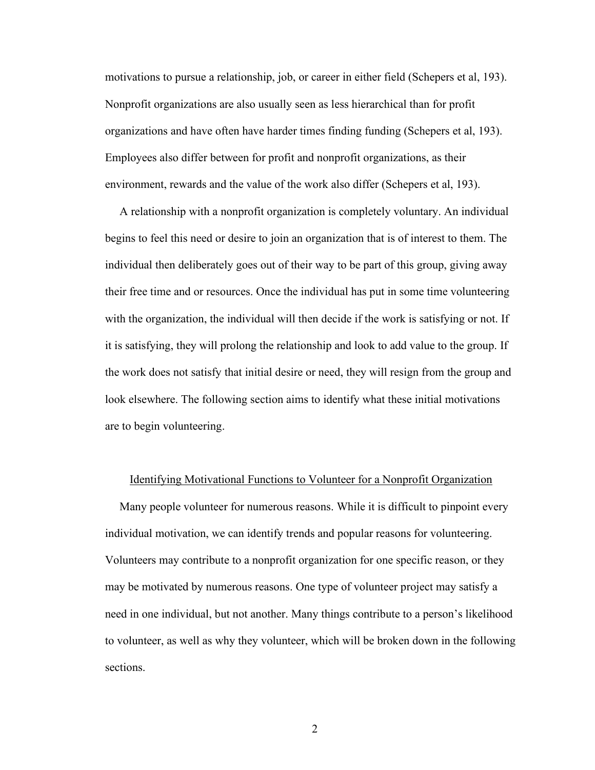motivations to pursue a relationship, job, or career in either field (Schepers et al, 193). Nonprofit organizations are also usually seen as less hierarchical than for profit organizations and have often have harder times finding funding (Schepers et al, 193). Employees also differ between for profit and nonprofit organizations, as their environment, rewards and the value of the work also differ (Schepers et al, 193).

 A relationship with a nonprofit organization is completely voluntary. An individual begins to feel this need or desire to join an organization that is of interest to them. The individual then deliberately goes out of their way to be part of this group, giving away their free time and or resources. Once the individual has put in some time volunteering with the organization, the individual will then decide if the work is satisfying or not. If it is satisfying, they will prolong the relationship and look to add value to the group. If the work does not satisfy that initial desire or need, they will resign from the group and look elsewhere. The following section aims to identify what these initial motivations are to begin volunteering.

#### Identifying Motivational Functions to Volunteer for a Nonprofit Organization

 Many people volunteer for numerous reasons. While it is difficult to pinpoint every individual motivation, we can identify trends and popular reasons for volunteering. Volunteers may contribute to a nonprofit organization for one specific reason, or they may be motivated by numerous reasons. One type of volunteer project may satisfy a need in one individual, but not another. Many things contribute to a person's likelihood to volunteer, as well as why they volunteer, which will be broken down in the following sections.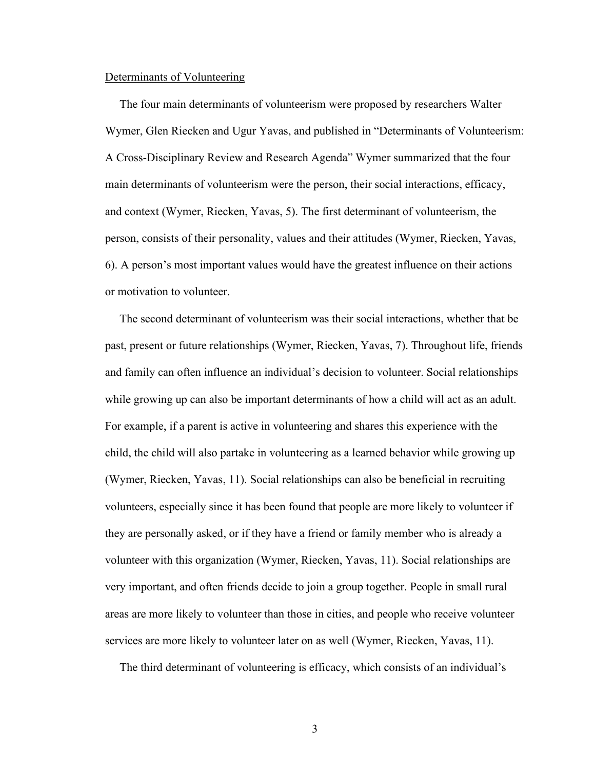## Determinants of Volunteering

 The four main determinants of volunteerism were proposed by researchers Walter Wymer, Glen Riecken and Ugur Yavas, and published in "Determinants of Volunteerism: A Cross-Disciplinary Review and Research Agenda" Wymer summarized that the four main determinants of volunteerism were the person, their social interactions, efficacy, and context (Wymer, Riecken, Yavas, 5). The first determinant of volunteerism, the person, consists of their personality, values and their attitudes (Wymer, Riecken, Yavas, 6). A person's most important values would have the greatest influence on their actions or motivation to volunteer.

 The second determinant of volunteerism was their social interactions, whether that be past, present or future relationships (Wymer, Riecken, Yavas, 7). Throughout life, friends and family can often influence an individual's decision to volunteer. Social relationships while growing up can also be important determinants of how a child will act as an adult. For example, if a parent is active in volunteering and shares this experience with the child, the child will also partake in volunteering as a learned behavior while growing up (Wymer, Riecken, Yavas, 11). Social relationships can also be beneficial in recruiting volunteers, especially since it has been found that people are more likely to volunteer if they are personally asked, or if they have a friend or family member who is already a volunteer with this organization (Wymer, Riecken, Yavas, 11). Social relationships are very important, and often friends decide to join a group together. People in small rural areas are more likely to volunteer than those in cities, and people who receive volunteer services are more likely to volunteer later on as well (Wymer, Riecken, Yavas, 11).

The third determinant of volunteering is efficacy, which consists of an individual's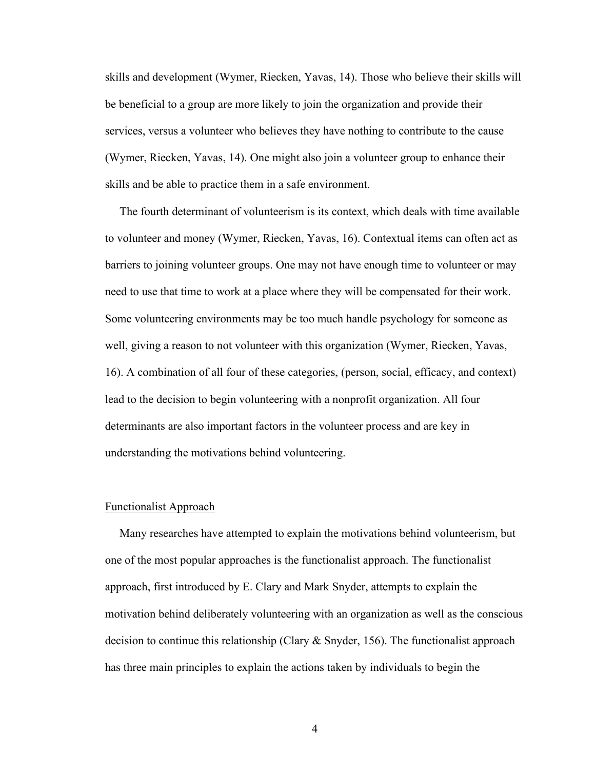skills and development (Wymer, Riecken, Yavas, 14). Those who believe their skills will be beneficial to a group are more likely to join the organization and provide their services, versus a volunteer who believes they have nothing to contribute to the cause (Wymer, Riecken, Yavas, 14). One might also join a volunteer group to enhance their skills and be able to practice them in a safe environment.

 The fourth determinant of volunteerism is its context, which deals with time available to volunteer and money (Wymer, Riecken, Yavas, 16). Contextual items can often act as barriers to joining volunteer groups. One may not have enough time to volunteer or may need to use that time to work at a place where they will be compensated for their work. Some volunteering environments may be too much handle psychology for someone as well, giving a reason to not volunteer with this organization (Wymer, Riecken, Yavas, 16). A combination of all four of these categories, (person, social, efficacy, and context) lead to the decision to begin volunteering with a nonprofit organization. All four determinants are also important factors in the volunteer process and are key in understanding the motivations behind volunteering.

# Functionalist Approach

 Many researches have attempted to explain the motivations behind volunteerism, but one of the most popular approaches is the functionalist approach. The functionalist approach, first introduced by E. Clary and Mark Snyder, attempts to explain the motivation behind deliberately volunteering with an organization as well as the conscious decision to continue this relationship (Clary & Snyder, 156). The functionalist approach has three main principles to explain the actions taken by individuals to begin the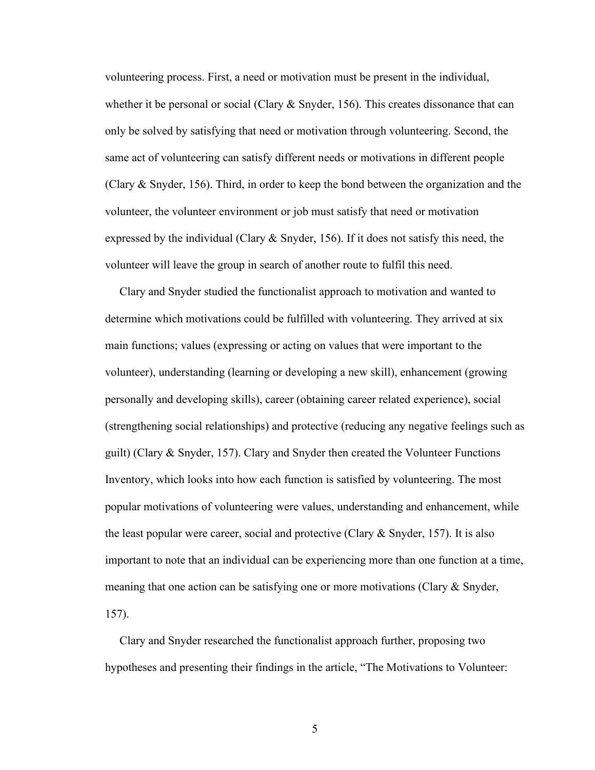volunteering process. First, a need or motivation must be present in the individual, whether it be personal or social (Clary  $\&$  Snyder, 156). This creates dissonance that can only be solved by satisfying that need or motivation through volunteering. Second, the same act of volunteering can satisfy different needs or motivations in different people (Clary  $\&$  Snyder, 156). Third, in order to keep the bond between the organization and the volunteer, the volunteer environment or job must satisfy that need or motivation expressed by the individual (Clary  $\&$  Snyder, 156). If it does not satisfy this need, the volunteer will leave the group in search of another route to fulfil this need.

 Clary and Snyder studied the functionalist approach to motivation and wanted to determine which motivations could be fulfilled with volunteering. They arrived at six main functions; values (expressing or acting on values that were important to the volunteer), understanding (learning or developing a new skill), enhancement (growing personally and developing skills), career (obtaining career related experience), social (strengthening social relationships) and protective (reducing any negative feelings such as guilt) (Clary  $\&$  Snyder, 157). Clary and Snyder then created the Volunteer Functions Inventory, which looks into how each function is satisfied by volunteering. The most popular motivations of volunteering were values, understanding and enhancement, while the least popular were career, social and protective (Clary  $&$  Snyder, 157). It is also important to note that an individual can be experiencing more than one function at a time, meaning that one action can be satisfying one or more motivations (Clary & Snyder, 157).

 Clary and Snyder researched the functionalist approach further, proposing two hypotheses and presenting their findings in the article, "The Motivations to Volunteer: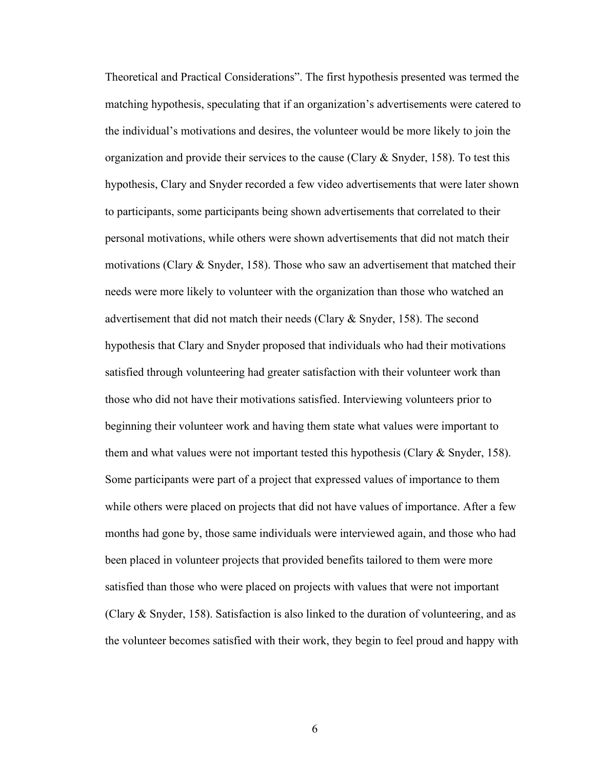Theoretical and Practical Considerations". The first hypothesis presented was termed the matching hypothesis, speculating that if an organization's advertisements were catered to the individual's motivations and desires, the volunteer would be more likely to join the organization and provide their services to the cause (Clary  $\&$  Snyder, 158). To test this hypothesis, Clary and Snyder recorded a few video advertisements that were later shown to participants, some participants being shown advertisements that correlated to their personal motivations, while others were shown advertisements that did not match their motivations (Clary  $\&$  Snyder, 158). Those who saw an advertisement that matched their needs were more likely to volunteer with the organization than those who watched an advertisement that did not match their needs (Clary  $\&$  Snyder, 158). The second hypothesis that Clary and Snyder proposed that individuals who had their motivations satisfied through volunteering had greater satisfaction with their volunteer work than those who did not have their motivations satisfied. Interviewing volunteers prior to beginning their volunteer work and having them state what values were important to them and what values were not important tested this hypothesis (Clary  $&$  Snyder, 158). Some participants were part of a project that expressed values of importance to them while others were placed on projects that did not have values of importance. After a few months had gone by, those same individuals were interviewed again, and those who had been placed in volunteer projects that provided benefits tailored to them were more satisfied than those who were placed on projects with values that were not important (Clary  $\&$  Snyder, 158). Satisfaction is also linked to the duration of volunteering, and as the volunteer becomes satisfied with their work, they begin to feel proud and happy with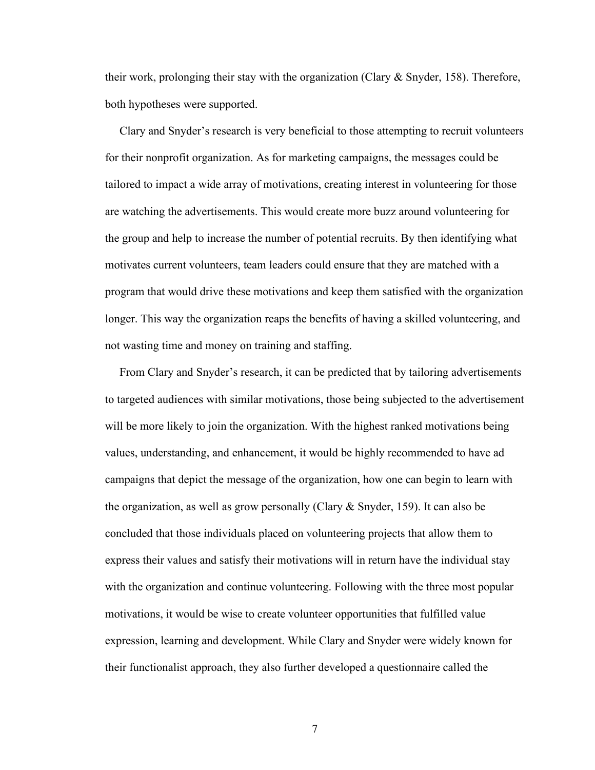their work, prolonging their stay with the organization (Clary & Snyder, 158). Therefore, both hypotheses were supported.

 Clary and Snyder's research is very beneficial to those attempting to recruit volunteers for their nonprofit organization. As for marketing campaigns, the messages could be tailored to impact a wide array of motivations, creating interest in volunteering for those are watching the advertisements. This would create more buzz around volunteering for the group and help to increase the number of potential recruits. By then identifying what motivates current volunteers, team leaders could ensure that they are matched with a program that would drive these motivations and keep them satisfied with the organization longer. This way the organization reaps the benefits of having a skilled volunteering, and not wasting time and money on training and staffing.

 From Clary and Snyder's research, it can be predicted that by tailoring advertisements to targeted audiences with similar motivations, those being subjected to the advertisement will be more likely to join the organization. With the highest ranked motivations being values, understanding, and enhancement, it would be highly recommended to have ad campaigns that depict the message of the organization, how one can begin to learn with the organization, as well as grow personally (Clary & Snyder, 159). It can also be concluded that those individuals placed on volunteering projects that allow them to express their values and satisfy their motivations will in return have the individual stay with the organization and continue volunteering. Following with the three most popular motivations, it would be wise to create volunteer opportunities that fulfilled value expression, learning and development. While Clary and Snyder were widely known for their functionalist approach, they also further developed a questionnaire called the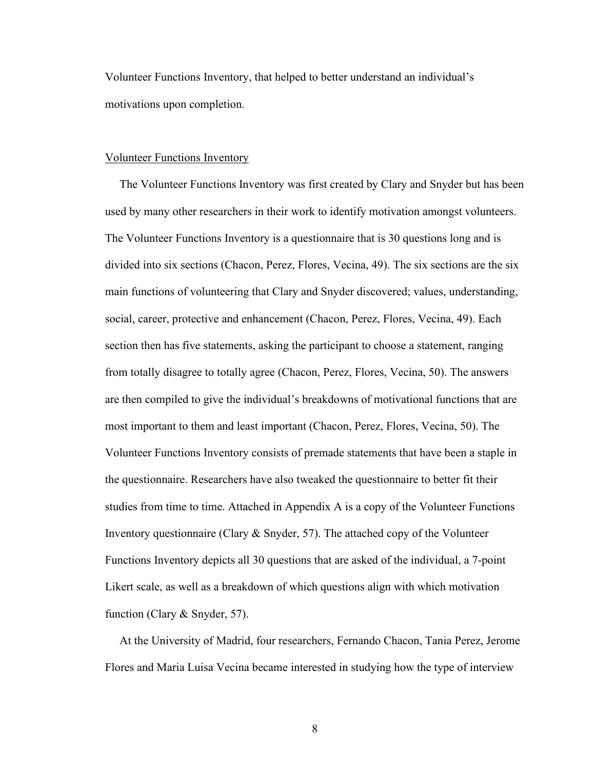Volunteer Functions Inventory, that helped to better understand an individual's motivations upon completion.

## Volunteer Functions Inventory

 The Volunteer Functions Inventory was first created by Clary and Snyder but has been used by many other researchers in their work to identify motivation amongst volunteers. The Volunteer Functions Inventory is a questionnaire that is 30 questions long and is divided into six sections (Chacon, Perez, Flores, Vecina, 49). The six sections are the six main functions of volunteering that Clary and Snyder discovered; values, understanding, social, career, protective and enhancement (Chacon, Perez, Flores, Vecina, 49). Each section then has five statements, asking the participant to choose a statement, ranging from totally disagree to totally agree (Chacon, Perez, Flores, Vecina, 50). The answers are then compiled to give the individual's breakdowns of motivational functions that are most important to them and least important (Chacon, Perez, Flores, Vecina, 50). The Volunteer Functions Inventory consists of premade statements that have been a staple in the questionnaire. Researchers have also tweaked the questionnaire to better fit their studies from time to time. Attached in Appendix A is a copy of the Volunteer Functions Inventory questionnaire (Clary  $\&$  Snyder, 57). The attached copy of the Volunteer Functions Inventory depicts all 30 questions that are asked of the individual, a 7-point Likert scale, as well as a breakdown of which questions align with which motivation function (Clary & Snyder, 57).

 At the University of Madrid, four researchers, Fernando Chacon, Tania Perez, Jerome Flores and Maria Luisa Vecina became interested in studying how the type of interview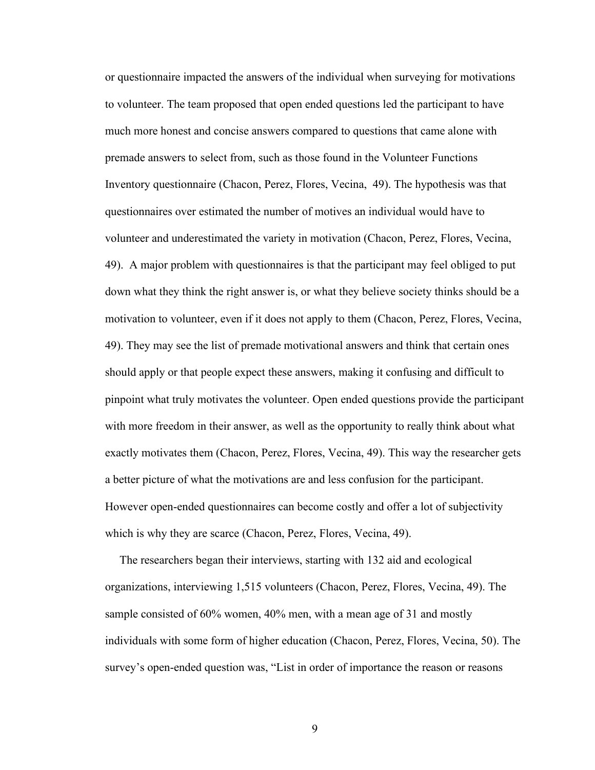or questionnaire impacted the answers of the individual when surveying for motivations to volunteer. The team proposed that open ended questions led the participant to have much more honest and concise answers compared to questions that came alone with premade answers to select from, such as those found in the Volunteer Functions Inventory questionnaire (Chacon, Perez, Flores, Vecina, 49). The hypothesis was that questionnaires over estimated the number of motives an individual would have to volunteer and underestimated the variety in motivation (Chacon, Perez, Flores, Vecina, 49). A major problem with questionnaires is that the participant may feel obliged to put down what they think the right answer is, or what they believe society thinks should be a motivation to volunteer, even if it does not apply to them (Chacon, Perez, Flores, Vecina, 49). They may see the list of premade motivational answers and think that certain ones should apply or that people expect these answers, making it confusing and difficult to pinpoint what truly motivates the volunteer. Open ended questions provide the participant with more freedom in their answer, as well as the opportunity to really think about what exactly motivates them (Chacon, Perez, Flores, Vecina, 49). This way the researcher gets a better picture of what the motivations are and less confusion for the participant. However open-ended questionnaires can become costly and offer a lot of subjectivity which is why they are scarce (Chacon, Perez, Flores, Vecina, 49).

 The researchers began their interviews, starting with 132 aid and ecological organizations, interviewing 1,515 volunteers (Chacon, Perez, Flores, Vecina, 49). The sample consisted of 60% women, 40% men, with a mean age of 31 and mostly individuals with some form of higher education (Chacon, Perez, Flores, Vecina, 50). The survey's open-ended question was, "List in order of importance the reason or reasons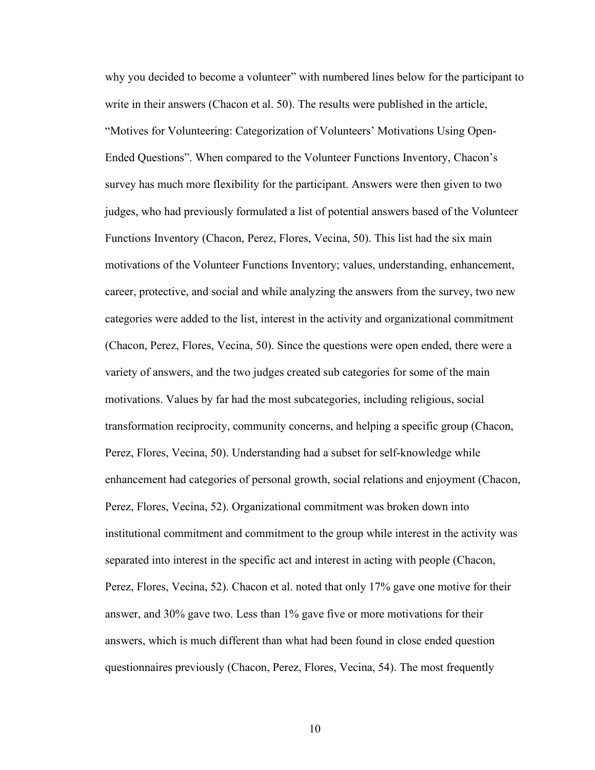why you decided to become a volunteer" with numbered lines below for the participant to write in their answers (Chacon et al. 50). The results were published in the article, "Motives for Volunteering: Categorization of Volunteers' Motivations Using Open-Ended Questions". When compared to the Volunteer Functions Inventory, Chacon's survey has much more flexibility for the participant. Answers were then given to two judges, who had previously formulated a list of potential answers based of the Volunteer Functions Inventory (Chacon, Perez, Flores, Vecina, 50). This list had the six main motivations of the Volunteer Functions Inventory; values, understanding, enhancement, career, protective, and social and while analyzing the answers from the survey, two new categories were added to the list, interest in the activity and organizational commitment (Chacon, Perez, Flores, Vecina, 50). Since the questions were open ended, there were a variety of answers, and the two judges created sub categories for some of the main motivations. Values by far had the most subcategories, including religious, social transformation reciprocity, community concerns, and helping a specific group (Chacon, Perez, Flores, Vecina, 50). Understanding had a subset for self-knowledge while enhancement had categories of personal growth, social relations and enjoyment (Chacon, Perez, Flores, Vecina, 52). Organizational commitment was broken down into institutional commitment and commitment to the group while interest in the activity was separated into interest in the specific act and interest in acting with people (Chacon, Perez, Flores, Vecina, 52). Chacon et al. noted that only 17% gave one motive for their answer, and 30% gave two. Less than 1% gave five or more motivations for their answers, which is much different than what had been found in close ended question questionnaires previously (Chacon, Perez, Flores, Vecina, 54). The most frequently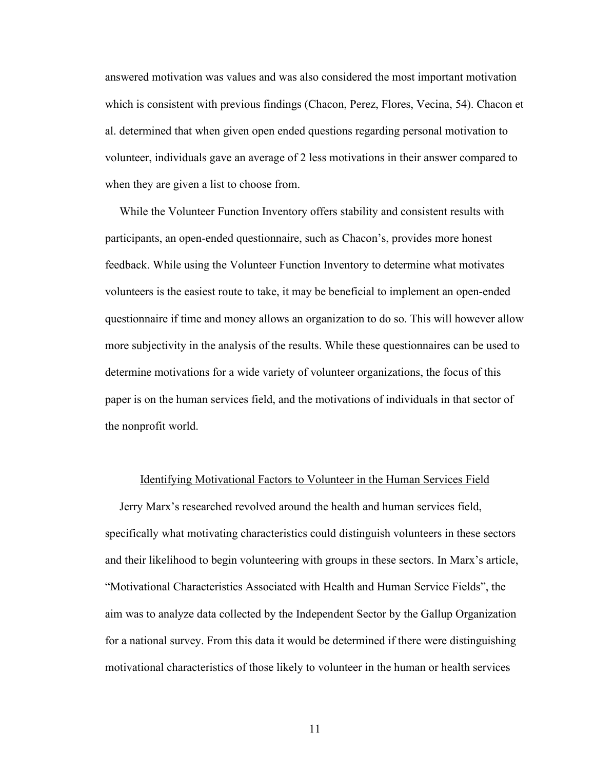answered motivation was values and was also considered the most important motivation which is consistent with previous findings (Chacon, Perez, Flores, Vecina, 54). Chacon et al. determined that when given open ended questions regarding personal motivation to volunteer, individuals gave an average of 2 less motivations in their answer compared to when they are given a list to choose from.

 While the Volunteer Function Inventory offers stability and consistent results with participants, an open-ended questionnaire, such as Chacon's, provides more honest feedback. While using the Volunteer Function Inventory to determine what motivates volunteers is the easiest route to take, it may be beneficial to implement an open-ended questionnaire if time and money allows an organization to do so. This will however allow more subjectivity in the analysis of the results. While these questionnaires can be used to determine motivations for a wide variety of volunteer organizations, the focus of this paper is on the human services field, and the motivations of individuals in that sector of the nonprofit world.

#### Identifying Motivational Factors to Volunteer in the Human Services Field

 Jerry Marx's researched revolved around the health and human services field, specifically what motivating characteristics could distinguish volunteers in these sectors and their likelihood to begin volunteering with groups in these sectors. In Marx's article, "Motivational Characteristics Associated with Health and Human Service Fields", the aim was to analyze data collected by the Independent Sector by the Gallup Organization for a national survey. From this data it would be determined if there were distinguishing motivational characteristics of those likely to volunteer in the human or health services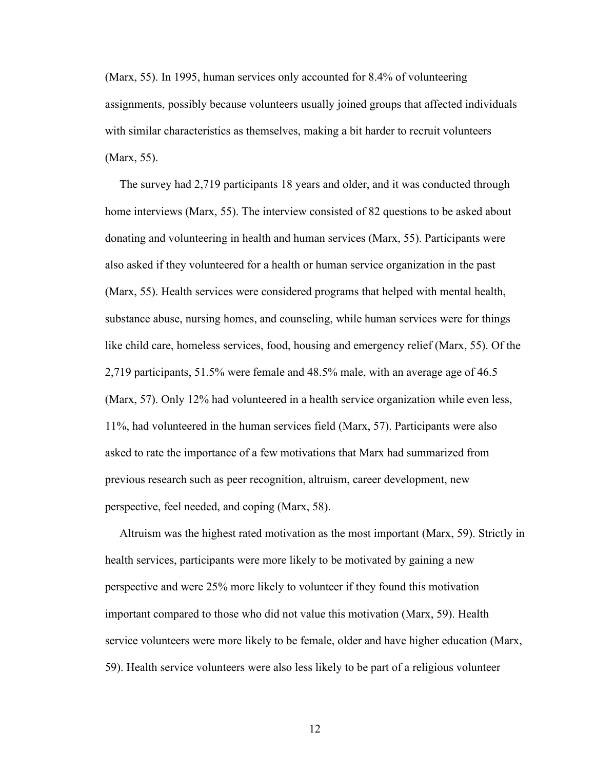(Marx, 55). In 1995, human services only accounted for 8.4% of volunteering assignments, possibly because volunteers usually joined groups that affected individuals with similar characteristics as themselves, making a bit harder to recruit volunteers (Marx, 55).

 The survey had 2,719 participants 18 years and older, and it was conducted through home interviews (Marx, 55). The interview consisted of 82 questions to be asked about donating and volunteering in health and human services (Marx, 55). Participants were also asked if they volunteered for a health or human service organization in the past (Marx, 55). Health services were considered programs that helped with mental health, substance abuse, nursing homes, and counseling, while human services were for things like child care, homeless services, food, housing and emergency relief (Marx, 55). Of the 2,719 participants, 51.5% were female and 48.5% male, with an average age of 46.5 (Marx, 57). Only 12% had volunteered in a health service organization while even less, 11%, had volunteered in the human services field (Marx, 57). Participants were also asked to rate the importance of a few motivations that Marx had summarized from previous research such as peer recognition, altruism, career development, new perspective, feel needed, and coping (Marx, 58).

 Altruism was the highest rated motivation as the most important (Marx, 59). Strictly in health services, participants were more likely to be motivated by gaining a new perspective and were 25% more likely to volunteer if they found this motivation important compared to those who did not value this motivation (Marx, 59). Health service volunteers were more likely to be female, older and have higher education (Marx, 59). Health service volunteers were also less likely to be part of a religious volunteer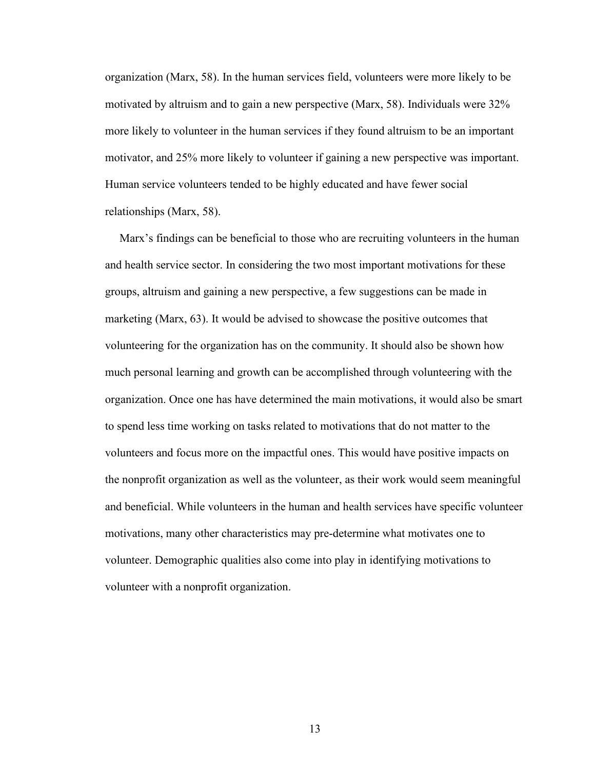organization (Marx, 58). In the human services field, volunteers were more likely to be motivated by altruism and to gain a new perspective (Marx, 58). Individuals were 32% more likely to volunteer in the human services if they found altruism to be an important motivator, and 25% more likely to volunteer if gaining a new perspective was important. Human service volunteers tended to be highly educated and have fewer social relationships (Marx, 58).

 Marx's findings can be beneficial to those who are recruiting volunteers in the human and health service sector. In considering the two most important motivations for these groups, altruism and gaining a new perspective, a few suggestions can be made in marketing (Marx, 63). It would be advised to showcase the positive outcomes that volunteering for the organization has on the community. It should also be shown how much personal learning and growth can be accomplished through volunteering with the organization. Once one has have determined the main motivations, it would also be smart to spend less time working on tasks related to motivations that do not matter to the volunteers and focus more on the impactful ones. This would have positive impacts on the nonprofit organization as well as the volunteer, as their work would seem meaningful and beneficial. While volunteers in the human and health services have specific volunteer motivations, many other characteristics may pre-determine what motivates one to volunteer. Demographic qualities also come into play in identifying motivations to volunteer with a nonprofit organization.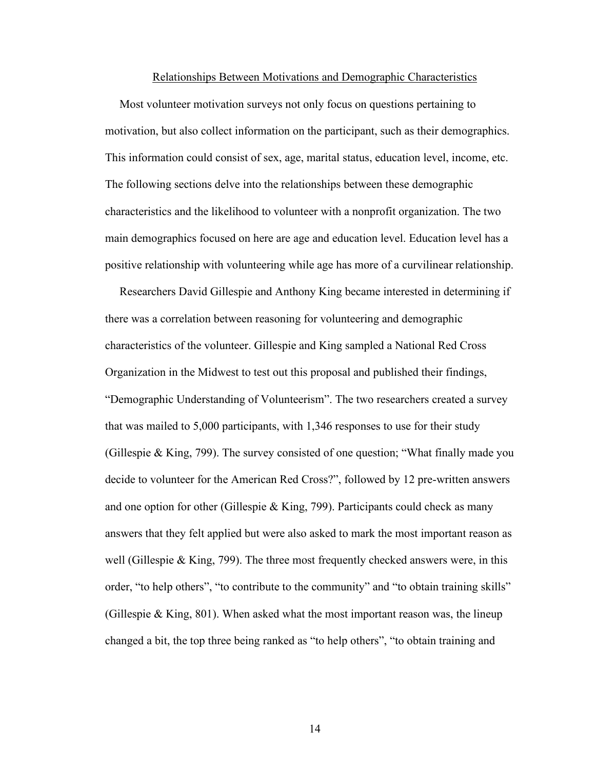# Relationships Between Motivations and Demographic Characteristics

 Most volunteer motivation surveys not only focus on questions pertaining to motivation, but also collect information on the participant, such as their demographics. This information could consist of sex, age, marital status, education level, income, etc. The following sections delve into the relationships between these demographic characteristics and the likelihood to volunteer with a nonprofit organization. The two main demographics focused on here are age and education level. Education level has a positive relationship with volunteering while age has more of a curvilinear relationship.

 Researchers David Gillespie and Anthony King became interested in determining if there was a correlation between reasoning for volunteering and demographic characteristics of the volunteer. Gillespie and King sampled a National Red Cross Organization in the Midwest to test out this proposal and published their findings, "Demographic Understanding of Volunteerism". The two researchers created a survey that was mailed to 5,000 participants, with 1,346 responses to use for their study (Gillespie & King, 799). The survey consisted of one question; "What finally made you decide to volunteer for the American Red Cross?", followed by 12 pre-written answers and one option for other (Gillespie  $&$  King, 799). Participants could check as many answers that they felt applied but were also asked to mark the most important reason as well (Gillespie  $&$  King, 799). The three most frequently checked answers were, in this order, "to help others", "to contribute to the community" and "to obtain training skills" (Gillespie  $\&$  King, 801). When asked what the most important reason was, the lineup changed a bit, the top three being ranked as "to help others", "to obtain training and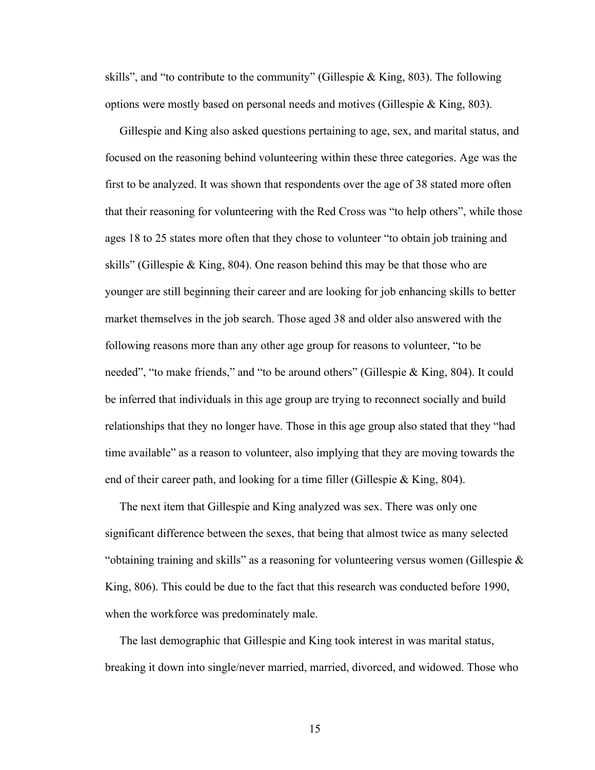skills", and "to contribute to the community" (Gillespie  $\&$  King, 803). The following options were mostly based on personal needs and motives (Gillespie & King, 803).

 Gillespie and King also asked questions pertaining to age, sex, and marital status, and focused on the reasoning behind volunteering within these three categories. Age was the first to be analyzed. It was shown that respondents over the age of 38 stated more often that their reasoning for volunteering with the Red Cross was "to help others", while those ages 18 to 25 states more often that they chose to volunteer "to obtain job training and skills" (Gillespie & King, 804). One reason behind this may be that those who are younger are still beginning their career and are looking for job enhancing skills to better market themselves in the job search. Those aged 38 and older also answered with the following reasons more than any other age group for reasons to volunteer, "to be needed", "to make friends," and "to be around others" (Gillespie & King, 804). It could be inferred that individuals in this age group are trying to reconnect socially and build relationships that they no longer have. Those in this age group also stated that they "had time available" as a reason to volunteer, also implying that they are moving towards the end of their career path, and looking for a time filler (Gillespie & King, 804).

 The next item that Gillespie and King analyzed was sex. There was only one significant difference between the sexes, that being that almost twice as many selected "obtaining training and skills" as a reasoning for volunteering versus women (Gillespie  $\&$ King, 806). This could be due to the fact that this research was conducted before 1990, when the workforce was predominately male.

 The last demographic that Gillespie and King took interest in was marital status, breaking it down into single/never married, married, divorced, and widowed. Those who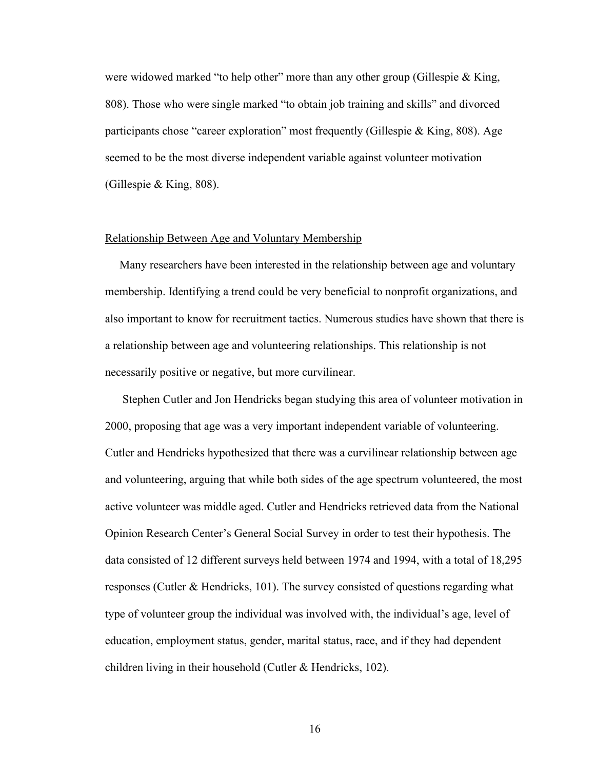were widowed marked "to help other" more than any other group (Gillespie & King, 808). Those who were single marked "to obtain job training and skills" and divorced participants chose "career exploration" most frequently (Gillespie & King, 808). Age seemed to be the most diverse independent variable against volunteer motivation (Gillespie & King, 808).

#### Relationship Between Age and Voluntary Membership

 Many researchers have been interested in the relationship between age and voluntary membership. Identifying a trend could be very beneficial to nonprofit organizations, and also important to know for recruitment tactics. Numerous studies have shown that there is a relationship between age and volunteering relationships. This relationship is not necessarily positive or negative, but more curvilinear.

 Stephen Cutler and Jon Hendricks began studying this area of volunteer motivation in 2000, proposing that age was a very important independent variable of volunteering. Cutler and Hendricks hypothesized that there was a curvilinear relationship between age and volunteering, arguing that while both sides of the age spectrum volunteered, the most active volunteer was middle aged. Cutler and Hendricks retrieved data from the National Opinion Research Center's General Social Survey in order to test their hypothesis. The data consisted of 12 different surveys held between 1974 and 1994, with a total of 18,295 responses (Cutler & Hendricks, 101). The survey consisted of questions regarding what type of volunteer group the individual was involved with, the individual's age, level of education, employment status, gender, marital status, race, and if they had dependent children living in their household (Cutler & Hendricks, 102).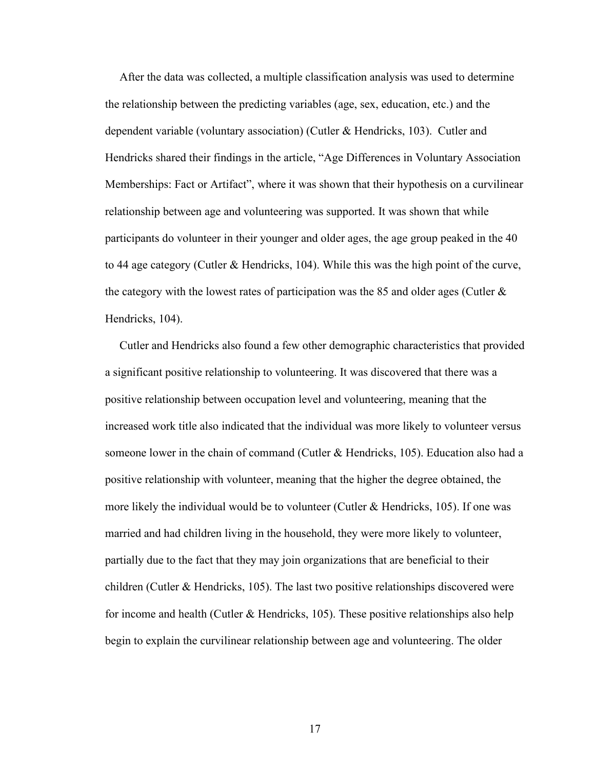After the data was collected, a multiple classification analysis was used to determine the relationship between the predicting variables (age, sex, education, etc.) and the dependent variable (voluntary association) (Cutler & Hendricks, 103). Cutler and Hendricks shared their findings in the article, "Age Differences in Voluntary Association Memberships: Fact or Artifact", where it was shown that their hypothesis on a curvilinear relationship between age and volunteering was supported. It was shown that while participants do volunteer in their younger and older ages, the age group peaked in the 40 to 44 age category (Cutler & Hendricks, 104). While this was the high point of the curve, the category with the lowest rates of participation was the 85 and older ages (Cutler  $\&$ Hendricks, 104).

 Cutler and Hendricks also found a few other demographic characteristics that provided a significant positive relationship to volunteering. It was discovered that there was a positive relationship between occupation level and volunteering, meaning that the increased work title also indicated that the individual was more likely to volunteer versus someone lower in the chain of command (Cutler & Hendricks, 105). Education also had a positive relationship with volunteer, meaning that the higher the degree obtained, the more likely the individual would be to volunteer (Cutler & Hendricks, 105). If one was married and had children living in the household, they were more likely to volunteer, partially due to the fact that they may join organizations that are beneficial to their children (Cutler & Hendricks, 105). The last two positive relationships discovered were for income and health (Cutler & Hendricks, 105). These positive relationships also help begin to explain the curvilinear relationship between age and volunteering. The older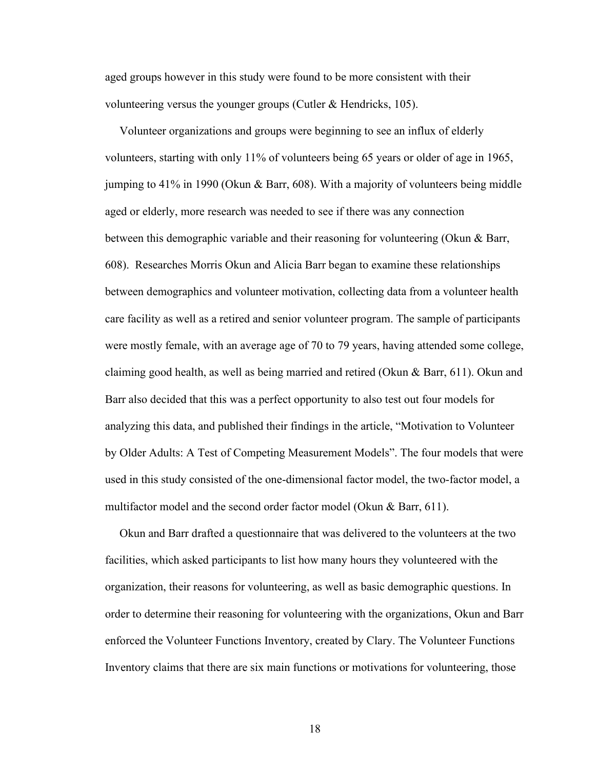aged groups however in this study were found to be more consistent with their volunteering versus the younger groups (Cutler & Hendricks, 105).

 Volunteer organizations and groups were beginning to see an influx of elderly volunteers, starting with only 11% of volunteers being 65 years or older of age in 1965, jumping to 41% in 1990 (Okun & Barr, 608). With a majority of volunteers being middle aged or elderly, more research was needed to see if there was any connection between this demographic variable and their reasoning for volunteering (Okun & Barr, 608). Researches Morris Okun and Alicia Barr began to examine these relationships between demographics and volunteer motivation, collecting data from a volunteer health care facility as well as a retired and senior volunteer program. The sample of participants were mostly female, with an average age of 70 to 79 years, having attended some college, claiming good health, as well as being married and retired (Okun & Barr, 611). Okun and Barr also decided that this was a perfect opportunity to also test out four models for analyzing this data, and published their findings in the article, "Motivation to Volunteer by Older Adults: A Test of Competing Measurement Models". The four models that were used in this study consisted of the one-dimensional factor model, the two-factor model, a multifactor model and the second order factor model (Okun & Barr, 611).

 Okun and Barr drafted a questionnaire that was delivered to the volunteers at the two facilities, which asked participants to list how many hours they volunteered with the organization, their reasons for volunteering, as well as basic demographic questions. In order to determine their reasoning for volunteering with the organizations, Okun and Barr enforced the Volunteer Functions Inventory, created by Clary. The Volunteer Functions Inventory claims that there are six main functions or motivations for volunteering, those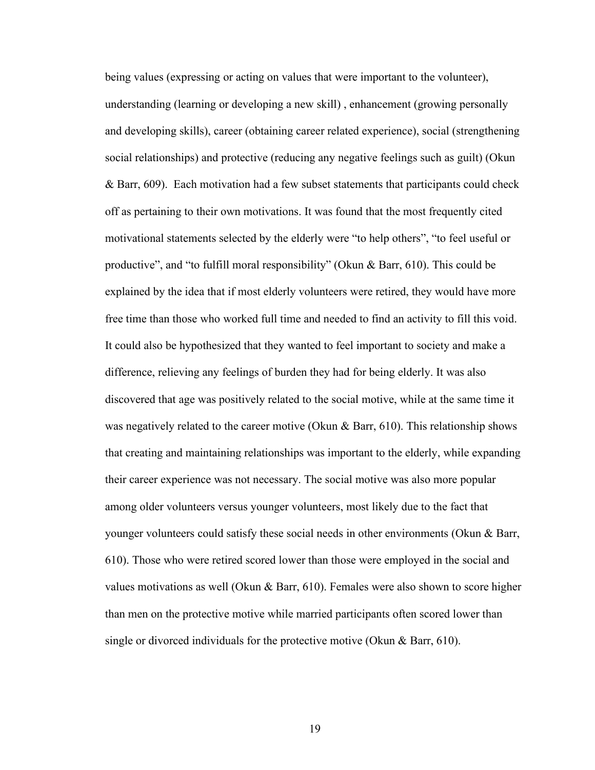being values (expressing or acting on values that were important to the volunteer), understanding (learning or developing a new skill) , enhancement (growing personally and developing skills), career (obtaining career related experience), social (strengthening social relationships) and protective (reducing any negative feelings such as guilt) (Okun & Barr, 609). Each motivation had a few subset statements that participants could check off as pertaining to their own motivations. It was found that the most frequently cited motivational statements selected by the elderly were "to help others", "to feel useful or productive", and "to fulfill moral responsibility" (Okun & Barr, 610). This could be explained by the idea that if most elderly volunteers were retired, they would have more free time than those who worked full time and needed to find an activity to fill this void. It could also be hypothesized that they wanted to feel important to society and make a difference, relieving any feelings of burden they had for being elderly. It was also discovered that age was positively related to the social motive, while at the same time it was negatively related to the career motive (Okun  $\&$  Barr, 610). This relationship shows that creating and maintaining relationships was important to the elderly, while expanding their career experience was not necessary. The social motive was also more popular among older volunteers versus younger volunteers, most likely due to the fact that younger volunteers could satisfy these social needs in other environments (Okun  $\&$  Barr, 610). Those who were retired scored lower than those were employed in the social and values motivations as well (Okun & Barr, 610). Females were also shown to score higher than men on the protective motive while married participants often scored lower than single or divorced individuals for the protective motive (Okun & Barr, 610).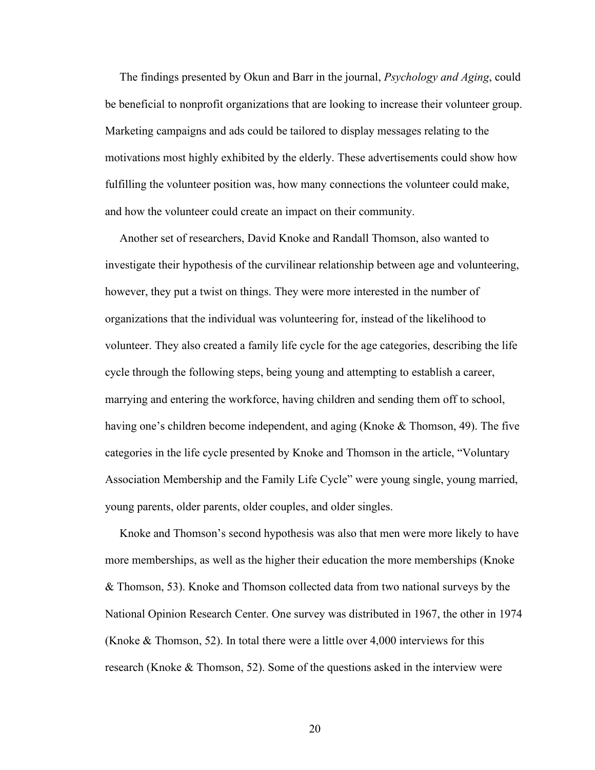The findings presented by Okun and Barr in the journal, *Psychology and Aging*, could be beneficial to nonprofit organizations that are looking to increase their volunteer group. Marketing campaigns and ads could be tailored to display messages relating to the motivations most highly exhibited by the elderly. These advertisements could show how fulfilling the volunteer position was, how many connections the volunteer could make, and how the volunteer could create an impact on their community.

 Another set of researchers, David Knoke and Randall Thomson, also wanted to investigate their hypothesis of the curvilinear relationship between age and volunteering, however, they put a twist on things. They were more interested in the number of organizations that the individual was volunteering for, instead of the likelihood to volunteer. They also created a family life cycle for the age categories, describing the life cycle through the following steps, being young and attempting to establish a career, marrying and entering the workforce, having children and sending them off to school, having one's children become independent, and aging (Knoke & Thomson, 49). The five categories in the life cycle presented by Knoke and Thomson in the article, "Voluntary Association Membership and the Family Life Cycle" were young single, young married, young parents, older parents, older couples, and older singles.

 Knoke and Thomson's second hypothesis was also that men were more likely to have more memberships, as well as the higher their education the more memberships (Knoke & Thomson, 53). Knoke and Thomson collected data from two national surveys by the National Opinion Research Center. One survey was distributed in 1967, the other in 1974 (Knoke & Thomson, 52). In total there were a little over 4,000 interviews for this research (Knoke & Thomson, 52). Some of the questions asked in the interview were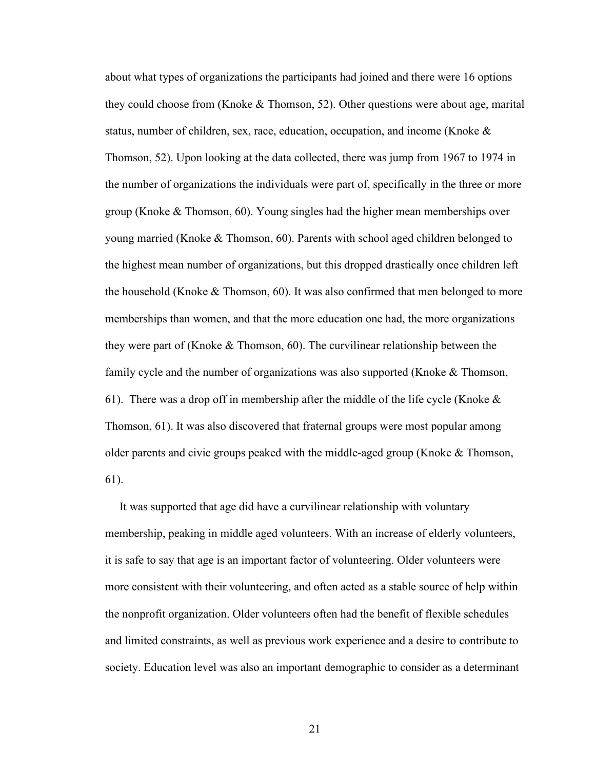about what types of organizations the participants had joined and there were 16 options they could choose from (Knoke & Thomson, 52). Other questions were about age, marital status, number of children, sex, race, education, occupation, and income (Knoke  $\&$ Thomson, 52). Upon looking at the data collected, there was jump from 1967 to 1974 in the number of organizations the individuals were part of, specifically in the three or more group (Knoke & Thomson, 60). Young singles had the higher mean memberships over young married (Knoke & Thomson, 60). Parents with school aged children belonged to the highest mean number of organizations, but this dropped drastically once children left the household (Knoke & Thomson, 60). It was also confirmed that men belonged to more memberships than women, and that the more education one had, the more organizations they were part of (Knoke & Thomson, 60). The curvilinear relationship between the family cycle and the number of organizations was also supported (Knoke & Thomson, 61). There was a drop off in membership after the middle of the life cycle (Knoke  $\&$ Thomson, 61). It was also discovered that fraternal groups were most popular among older parents and civic groups peaked with the middle-aged group (Knoke & Thomson, 61).

 It was supported that age did have a curvilinear relationship with voluntary membership, peaking in middle aged volunteers. With an increase of elderly volunteers, it is safe to say that age is an important factor of volunteering. Older volunteers were more consistent with their volunteering, and often acted as a stable source of help within the nonprofit organization. Older volunteers often had the benefit of flexible schedules and limited constraints, as well as previous work experience and a desire to contribute to society. Education level was also an important demographic to consider as a determinant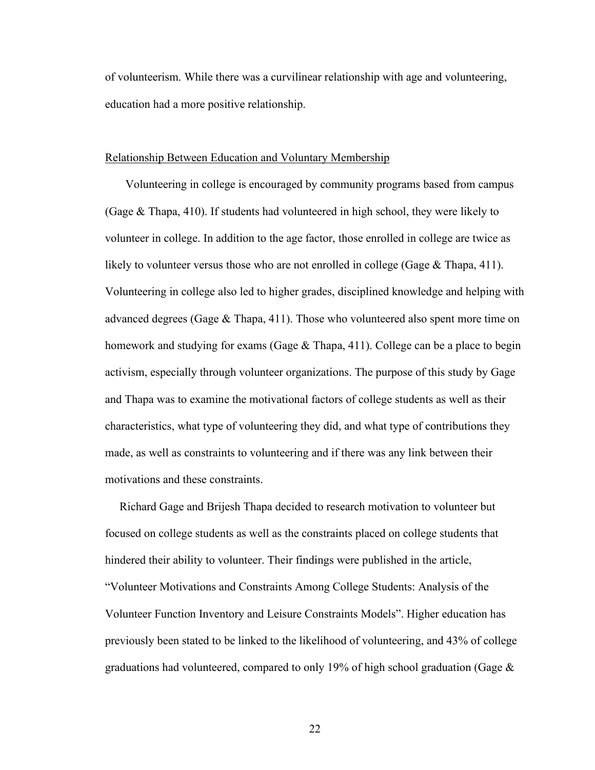of volunteerism. While there was a curvilinear relationship with age and volunteering, education had a more positive relationship.

## Relationship Between Education and Voluntary Membership

 Volunteering in college is encouraged by community programs based from campus (Gage & Thapa, 410). If students had volunteered in high school, they were likely to volunteer in college. In addition to the age factor, those enrolled in college are twice as likely to volunteer versus those who are not enrolled in college (Gage & Thapa, 411). Volunteering in college also led to higher grades, disciplined knowledge and helping with advanced degrees (Gage  $\&$  Thapa, 411). Those who volunteered also spent more time on homework and studying for exams (Gage & Thapa, 411). College can be a place to begin activism, especially through volunteer organizations. The purpose of this study by Gage and Thapa was to examine the motivational factors of college students as well as their characteristics, what type of volunteering they did, and what type of contributions they made, as well as constraints to volunteering and if there was any link between their motivations and these constraints.

 Richard Gage and Brijesh Thapa decided to research motivation to volunteer but focused on college students as well as the constraints placed on college students that hindered their ability to volunteer. Their findings were published in the article, "Volunteer Motivations and Constraints Among College Students: Analysis of the Volunteer Function Inventory and Leisure Constraints Models". Higher education has previously been stated to be linked to the likelihood of volunteering, and 43% of college graduations had volunteered, compared to only 19% of high school graduation (Gage &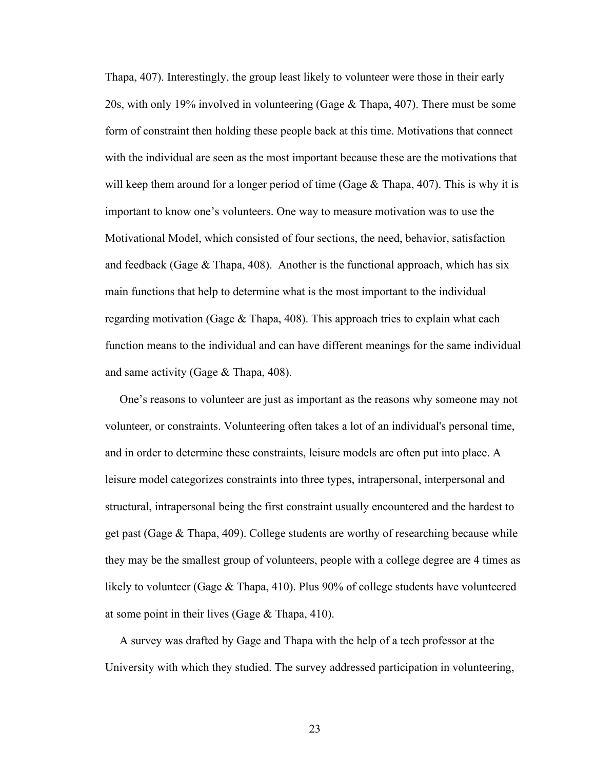Thapa, 407). Interestingly, the group least likely to volunteer were those in their early 20s, with only 19% involved in volunteering (Gage & Thapa, 407). There must be some form of constraint then holding these people back at this time. Motivations that connect with the individual are seen as the most important because these are the motivations that will keep them around for a longer period of time (Gage  $\&$  Thapa, 407). This is why it is important to know one's volunteers. One way to measure motivation was to use the Motivational Model, which consisted of four sections, the need, behavior, satisfaction and feedback (Gage  $\&$  Thapa, 408). Another is the functional approach, which has six main functions that help to determine what is the most important to the individual regarding motivation (Gage  $&$  Thapa, 408). This approach tries to explain what each function means to the individual and can have different meanings for the same individual and same activity (Gage & Thapa, 408).

 One's reasons to volunteer are just as important as the reasons why someone may not volunteer, or constraints. Volunteering often takes a lot of an individual's personal time, and in order to determine these constraints, leisure models are often put into place. A leisure model categorizes constraints into three types, intrapersonal, interpersonal and structural, intrapersonal being the first constraint usually encountered and the hardest to get past (Gage & Thapa, 409). College students are worthy of researching because while they may be the smallest group of volunteers, people with a college degree are 4 times as likely to volunteer (Gage & Thapa, 410). Plus 90% of college students have volunteered at some point in their lives (Gage  $& \text{Thapa}, 410$ ).

 A survey was drafted by Gage and Thapa with the help of a tech professor at the University with which they studied. The survey addressed participation in volunteering,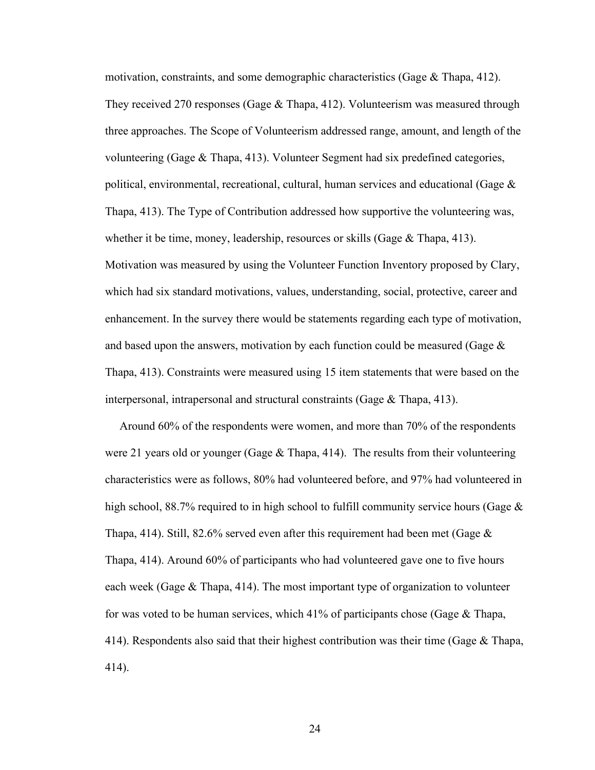motivation, constraints, and some demographic characteristics (Gage & Thapa, 412). They received 270 responses (Gage & Thapa, 412). Volunteerism was measured through three approaches. The Scope of Volunteerism addressed range, amount, and length of the volunteering (Gage & Thapa, 413). Volunteer Segment had six predefined categories, political, environmental, recreational, cultural, human services and educational (Gage  $\&$ Thapa, 413). The Type of Contribution addressed how supportive the volunteering was, whether it be time, money, leadership, resources or skills (Gage & Thapa, 413). Motivation was measured by using the Volunteer Function Inventory proposed by Clary, which had six standard motivations, values, understanding, social, protective, career and enhancement. In the survey there would be statements regarding each type of motivation, and based upon the answers, motivation by each function could be measured (Gage  $\&$ Thapa, 413). Constraints were measured using 15 item statements that were based on the interpersonal, intrapersonal and structural constraints (Gage & Thapa, 413).

 Around 60% of the respondents were women, and more than 70% of the respondents were 21 years old or younger (Gage  $\&$  Thapa, 414). The results from their volunteering characteristics were as follows, 80% had volunteered before, and 97% had volunteered in high school, 88.7% required to in high school to fulfill community service hours (Gage  $\&$ Thapa, 414). Still, 82.6% served even after this requirement had been met (Gage  $\&$ Thapa, 414). Around 60% of participants who had volunteered gave one to five hours each week (Gage  $\&$  Thapa, 414). The most important type of organization to volunteer for was voted to be human services, which 41% of participants chose (Gage & Thapa, 414). Respondents also said that their highest contribution was their time (Gage & Thapa, 414).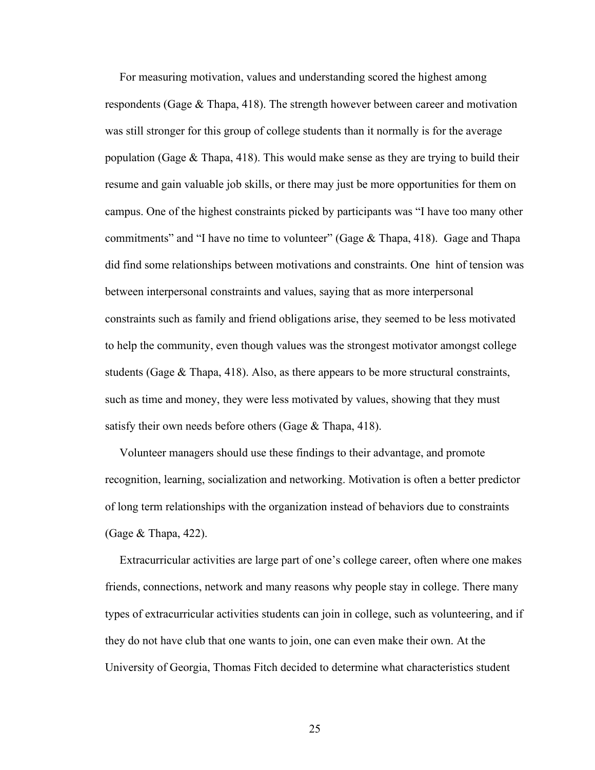For measuring motivation, values and understanding scored the highest among respondents (Gage & Thapa, 418). The strength however between career and motivation was still stronger for this group of college students than it normally is for the average population (Gage  $\&$  Thapa, 418). This would make sense as they are trying to build their resume and gain valuable job skills, or there may just be more opportunities for them on campus. One of the highest constraints picked by participants was "I have too many other commitments" and "I have no time to volunteer" (Gage  $\&$  Thapa, 418). Gage and Thapa did find some relationships between motivations and constraints. One hint of tension was between interpersonal constraints and values, saying that as more interpersonal constraints such as family and friend obligations arise, they seemed to be less motivated to help the community, even though values was the strongest motivator amongst college students (Gage  $\&$  Thapa, 418). Also, as there appears to be more structural constraints, such as time and money, they were less motivated by values, showing that they must satisfy their own needs before others (Gage & Thapa, 418).

 Volunteer managers should use these findings to their advantage, and promote recognition, learning, socialization and networking. Motivation is often a better predictor of long term relationships with the organization instead of behaviors due to constraints (Gage & Thapa, 422).

 Extracurricular activities are large part of one's college career, often where one makes friends, connections, network and many reasons why people stay in college. There many types of extracurricular activities students can join in college, such as volunteering, and if they do not have club that one wants to join, one can even make their own. At the University of Georgia, Thomas Fitch decided to determine what characteristics student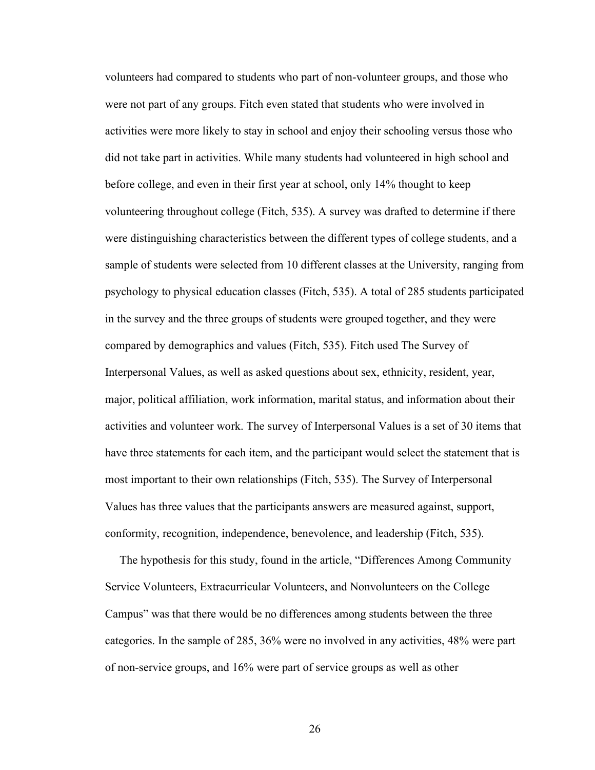volunteers had compared to students who part of non-volunteer groups, and those who were not part of any groups. Fitch even stated that students who were involved in activities were more likely to stay in school and enjoy their schooling versus those who did not take part in activities. While many students had volunteered in high school and before college, and even in their first year at school, only 14% thought to keep volunteering throughout college (Fitch, 535). A survey was drafted to determine if there were distinguishing characteristics between the different types of college students, and a sample of students were selected from 10 different classes at the University, ranging from psychology to physical education classes (Fitch, 535). A total of 285 students participated in the survey and the three groups of students were grouped together, and they were compared by demographics and values (Fitch, 535). Fitch used The Survey of Interpersonal Values, as well as asked questions about sex, ethnicity, resident, year, major, political affiliation, work information, marital status, and information about their activities and volunteer work. The survey of Interpersonal Values is a set of 30 items that have three statements for each item, and the participant would select the statement that is most important to their own relationships (Fitch, 535). The Survey of Interpersonal Values has three values that the participants answers are measured against, support, conformity, recognition, independence, benevolence, and leadership (Fitch, 535).

 The hypothesis for this study, found in the article, "Differences Among Community Service Volunteers, Extracurricular Volunteers, and Nonvolunteers on the College Campus" was that there would be no differences among students between the three categories. In the sample of 285, 36% were no involved in any activities, 48% were part of non-service groups, and 16% were part of service groups as well as other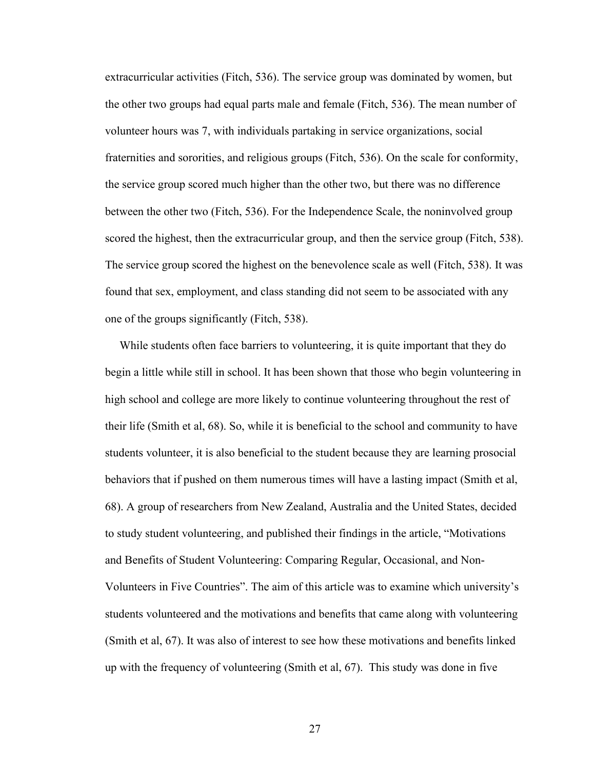extracurricular activities (Fitch, 536). The service group was dominated by women, but the other two groups had equal parts male and female (Fitch, 536). The mean number of volunteer hours was 7, with individuals partaking in service organizations, social fraternities and sororities, and religious groups (Fitch, 536). On the scale for conformity, the service group scored much higher than the other two, but there was no difference between the other two (Fitch, 536). For the Independence Scale, the noninvolved group scored the highest, then the extracurricular group, and then the service group (Fitch, 538). The service group scored the highest on the benevolence scale as well (Fitch, 538). It was found that sex, employment, and class standing did not seem to be associated with any one of the groups significantly (Fitch, 538).

 While students often face barriers to volunteering, it is quite important that they do begin a little while still in school. It has been shown that those who begin volunteering in high school and college are more likely to continue volunteering throughout the rest of their life (Smith et al, 68). So, while it is beneficial to the school and community to have students volunteer, it is also beneficial to the student because they are learning prosocial behaviors that if pushed on them numerous times will have a lasting impact (Smith et al, 68). A group of researchers from New Zealand, Australia and the United States, decided to study student volunteering, and published their findings in the article, "Motivations and Benefits of Student Volunteering: Comparing Regular, Occasional, and Non-Volunteers in Five Countries". The aim of this article was to examine which university's students volunteered and the motivations and benefits that came along with volunteering (Smith et al, 67). It was also of interest to see how these motivations and benefits linked up with the frequency of volunteering (Smith et al, 67). This study was done in five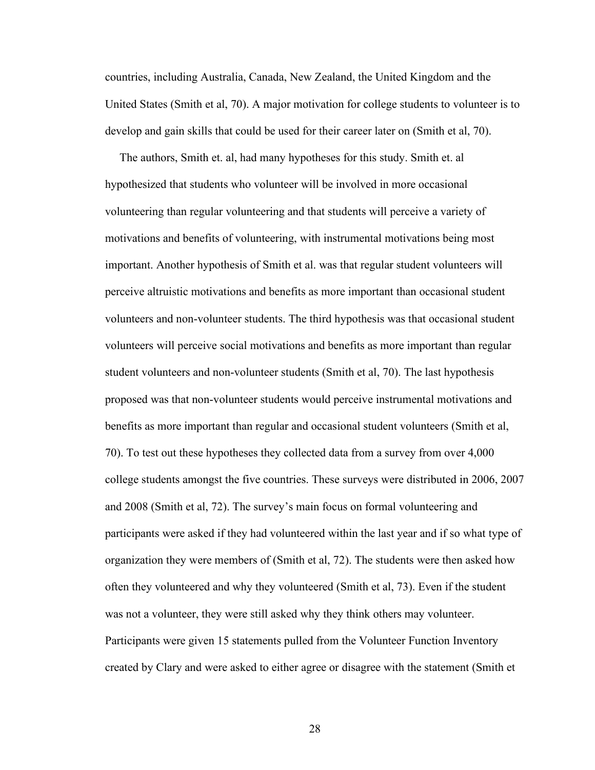countries, including Australia, Canada, New Zealand, the United Kingdom and the United States (Smith et al, 70). A major motivation for college students to volunteer is to develop and gain skills that could be used for their career later on (Smith et al, 70).

 The authors, Smith et. al, had many hypotheses for this study. Smith et. al hypothesized that students who volunteer will be involved in more occasional volunteering than regular volunteering and that students will perceive a variety of motivations and benefits of volunteering, with instrumental motivations being most important. Another hypothesis of Smith et al. was that regular student volunteers will perceive altruistic motivations and benefits as more important than occasional student volunteers and non-volunteer students. The third hypothesis was that occasional student volunteers will perceive social motivations and benefits as more important than regular student volunteers and non-volunteer students (Smith et al, 70). The last hypothesis proposed was that non-volunteer students would perceive instrumental motivations and benefits as more important than regular and occasional student volunteers (Smith et al, 70). To test out these hypotheses they collected data from a survey from over 4,000 college students amongst the five countries. These surveys were distributed in 2006, 2007 and 2008 (Smith et al, 72). The survey's main focus on formal volunteering and participants were asked if they had volunteered within the last year and if so what type of organization they were members of (Smith et al, 72). The students were then asked how often they volunteered and why they volunteered (Smith et al, 73). Even if the student was not a volunteer, they were still asked why they think others may volunteer. Participants were given 15 statements pulled from the Volunteer Function Inventory created by Clary and were asked to either agree or disagree with the statement (Smith et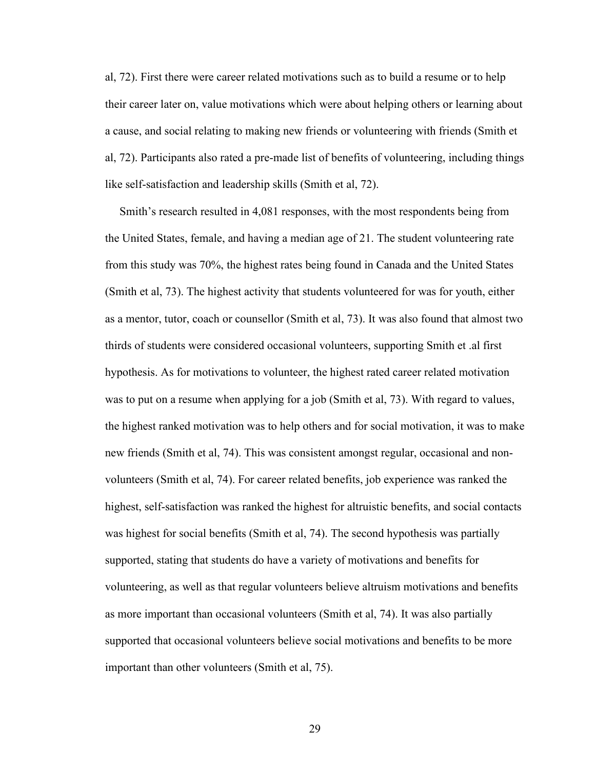al, 72). First there were career related motivations such as to build a resume or to help their career later on, value motivations which were about helping others or learning about a cause, and social relating to making new friends or volunteering with friends (Smith et al, 72). Participants also rated a pre-made list of benefits of volunteering, including things like self-satisfaction and leadership skills (Smith et al, 72).

 Smith's research resulted in 4,081 responses, with the most respondents being from the United States, female, and having a median age of 21. The student volunteering rate from this study was 70%, the highest rates being found in Canada and the United States (Smith et al, 73). The highest activity that students volunteered for was for youth, either as a mentor, tutor, coach or counsellor (Smith et al, 73). It was also found that almost two thirds of students were considered occasional volunteers, supporting Smith et .al first hypothesis. As for motivations to volunteer, the highest rated career related motivation was to put on a resume when applying for a job (Smith et al, 73). With regard to values, the highest ranked motivation was to help others and for social motivation, it was to make new friends (Smith et al, 74). This was consistent amongst regular, occasional and nonvolunteers (Smith et al, 74). For career related benefits, job experience was ranked the highest, self-satisfaction was ranked the highest for altruistic benefits, and social contacts was highest for social benefits (Smith et al, 74). The second hypothesis was partially supported, stating that students do have a variety of motivations and benefits for volunteering, as well as that regular volunteers believe altruism motivations and benefits as more important than occasional volunteers (Smith et al, 74). It was also partially supported that occasional volunteers believe social motivations and benefits to be more important than other volunteers (Smith et al, 75).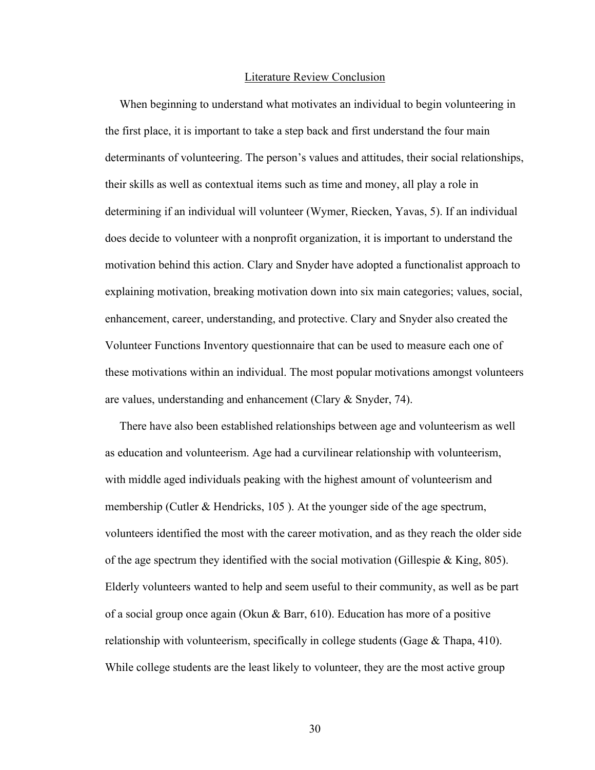#### Literature Review Conclusion

 When beginning to understand what motivates an individual to begin volunteering in the first place, it is important to take a step back and first understand the four main determinants of volunteering. The person's values and attitudes, their social relationships, their skills as well as contextual items such as time and money, all play a role in determining if an individual will volunteer (Wymer, Riecken, Yavas, 5). If an individual does decide to volunteer with a nonprofit organization, it is important to understand the motivation behind this action. Clary and Snyder have adopted a functionalist approach to explaining motivation, breaking motivation down into six main categories; values, social, enhancement, career, understanding, and protective. Clary and Snyder also created the Volunteer Functions Inventory questionnaire that can be used to measure each one of these motivations within an individual. The most popular motivations amongst volunteers are values, understanding and enhancement (Clary & Snyder, 74).

 There have also been established relationships between age and volunteerism as well as education and volunteerism. Age had a curvilinear relationship with volunteerism, with middle aged individuals peaking with the highest amount of volunteerism and membership (Cutler & Hendricks, 105 ). At the younger side of the age spectrum, volunteers identified the most with the career motivation, and as they reach the older side of the age spectrum they identified with the social motivation (Gillespie  $\&$  King, 805). Elderly volunteers wanted to help and seem useful to their community, as well as be part of a social group once again (Okun & Barr, 610). Education has more of a positive relationship with volunteerism, specifically in college students (Gage & Thapa, 410). While college students are the least likely to volunteer, they are the most active group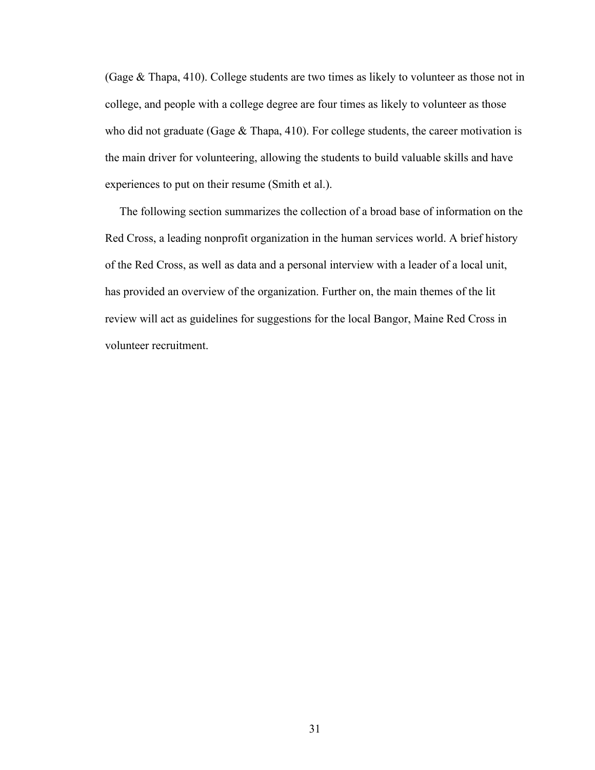(Gage & Thapa, 410). College students are two times as likely to volunteer as those not in college, and people with a college degree are four times as likely to volunteer as those who did not graduate (Gage  $&$  Thapa, 410). For college students, the career motivation is the main driver for volunteering, allowing the students to build valuable skills and have experiences to put on their resume (Smith et al.).

 The following section summarizes the collection of a broad base of information on the Red Cross, a leading nonprofit organization in the human services world. A brief history of the Red Cross, as well as data and a personal interview with a leader of a local unit, has provided an overview of the organization. Further on, the main themes of the lit review will act as guidelines for suggestions for the local Bangor, Maine Red Cross in volunteer recruitment.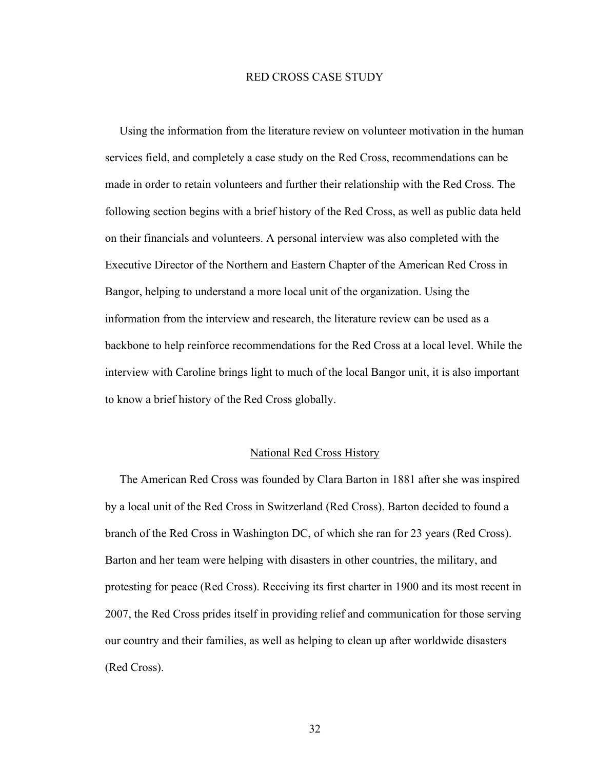## RED CROSS CASE STUDY

 Using the information from the literature review on volunteer motivation in the human services field, and completely a case study on the Red Cross, recommendations can be made in order to retain volunteers and further their relationship with the Red Cross. The following section begins with a brief history of the Red Cross, as well as public data held on their financials and volunteers. A personal interview was also completed with the Executive Director of the Northern and Eastern Chapter of the American Red Cross in Bangor, helping to understand a more local unit of the organization. Using the information from the interview and research, the literature review can be used as a backbone to help reinforce recommendations for the Red Cross at a local level. While the interview with Caroline brings light to much of the local Bangor unit, it is also important to know a brief history of the Red Cross globally.

#### National Red Cross History

 The American Red Cross was founded by Clara Barton in 1881 after she was inspired by a local unit of the Red Cross in Switzerland (Red Cross). Barton decided to found a branch of the Red Cross in Washington DC, of which she ran for 23 years (Red Cross). Barton and her team were helping with disasters in other countries, the military, and protesting for peace (Red Cross). Receiving its first charter in 1900 and its most recent in 2007, the Red Cross prides itself in providing relief and communication for those serving our country and their families, as well as helping to clean up after worldwide disasters (Red Cross).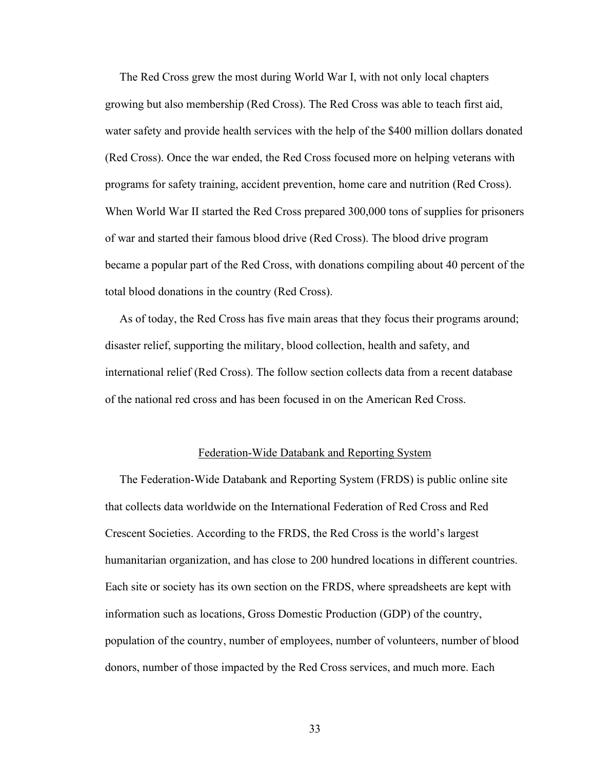The Red Cross grew the most during World War I, with not only local chapters growing but also membership (Red Cross). The Red Cross was able to teach first aid, water safety and provide health services with the help of the \$400 million dollars donated (Red Cross). Once the war ended, the Red Cross focused more on helping veterans with programs for safety training, accident prevention, home care and nutrition (Red Cross). When World War II started the Red Cross prepared 300,000 tons of supplies for prisoners of war and started their famous blood drive (Red Cross). The blood drive program became a popular part of the Red Cross, with donations compiling about 40 percent of the total blood donations in the country (Red Cross).

 As of today, the Red Cross has five main areas that they focus their programs around; disaster relief, supporting the military, blood collection, health and safety, and international relief (Red Cross). The follow section collects data from a recent database of the national red cross and has been focused in on the American Red Cross.

#### Federation-Wide Databank and Reporting System

 The Federation-Wide Databank and Reporting System (FRDS) is public online site that collects data worldwide on the International Federation of Red Cross and Red Crescent Societies. According to the FRDS, the Red Cross is the world's largest humanitarian organization, and has close to 200 hundred locations in different countries. Each site or society has its own section on the FRDS, where spreadsheets are kept with information such as locations, Gross Domestic Production (GDP) of the country, population of the country, number of employees, number of volunteers, number of blood donors, number of those impacted by the Red Cross services, and much more. Each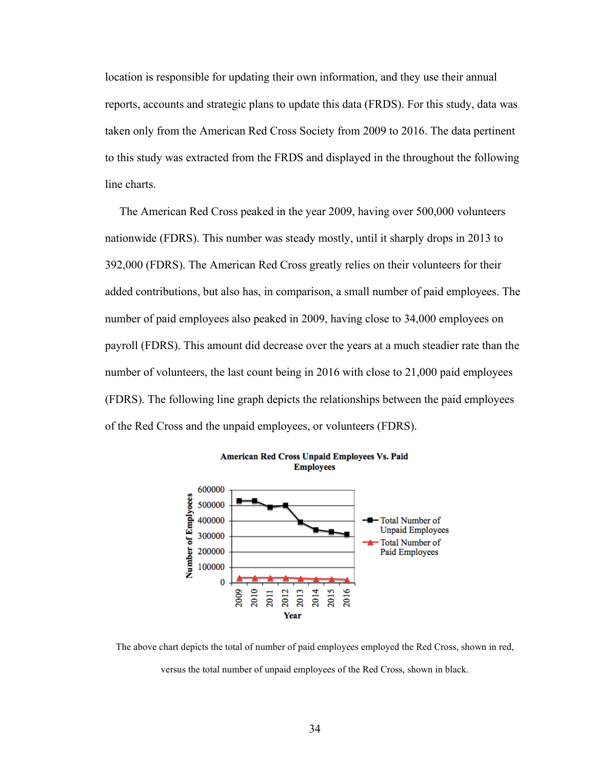location is responsible for updating their own information, and they use their annual reports, accounts and strategic plans to update this data (FRDS). For this study, data was taken only from the American Red Cross Society from 2009 to 2016. The data pertinent to this study was extracted from the FRDS and displayed in the throughout the following line charts.

 The American Red Cross peaked in the year 2009, having over 500,000 volunteers nationwide (FDRS). This number was steady mostly, until it sharply drops in 2013 to 392,000 (FDRS). The American Red Cross greatly relies on their volunteers for their added contributions, but also has, in comparison, a small number of paid employees. The number of paid employees also peaked in 2009, having close to 34,000 employees on payroll (FDRS). This amount did decrease over the years at a much steadier rate than the number of volunteers, the last count being in 2016 with close to 21,000 paid employees (FDRS). The following line graph depicts the relationships between the paid employees of the Red Cross and the unpaid employees, or volunteers (FDRS).





The above chart depicts the total of number of paid employees employed the Red Cross, shown in red, versus the total number of unpaid employees of the Red Cross, shown in black.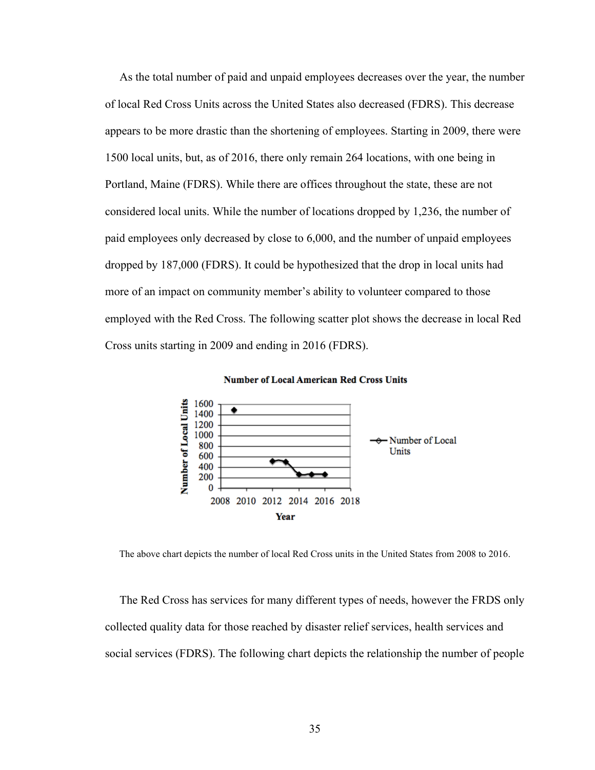As the total number of paid and unpaid employees decreases over the year, the number of local Red Cross Units across the United States also decreased (FDRS). This decrease appears to be more drastic than the shortening of employees. Starting in 2009, there were 1500 local units, but, as of 2016, there only remain 264 locations, with one being in Portland, Maine (FDRS). While there are offices throughout the state, these are not considered local units. While the number of locations dropped by 1,236, the number of paid employees only decreased by close to 6,000, and the number of unpaid employees dropped by 187,000 (FDRS). It could be hypothesized that the drop in local units had more of an impact on community member's ability to volunteer compared to those employed with the Red Cross. The following scatter plot shows the decrease in local Red Cross units starting in 2009 and ending in 2016 (FDRS).





The above chart depicts the number of local Red Cross units in the United States from 2008 to 2016.

 The Red Cross has services for many different types of needs, however the FRDS only collected quality data for those reached by disaster relief services, health services and social services (FDRS). The following chart depicts the relationship the number of people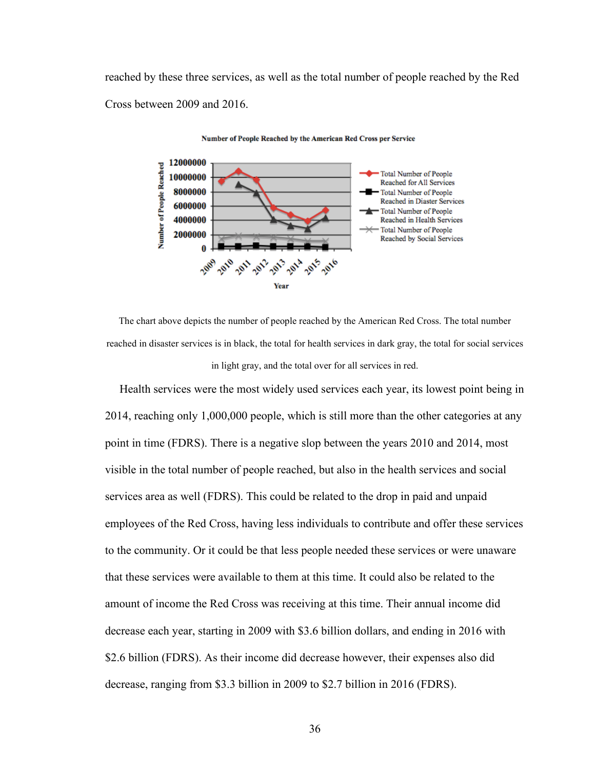reached by these three services, as well as the total number of people reached by the Red Cross between 2009 and 2016.





The chart above depicts the number of people reached by the American Red Cross. The total number reached in disaster services is in black, the total for health services in dark gray, the total for social services in light gray, and the total over for all services in red.

 Health services were the most widely used services each year, its lowest point being in 2014, reaching only 1,000,000 people, which is still more than the other categories at any point in time (FDRS). There is a negative slop between the years 2010 and 2014, most visible in the total number of people reached, but also in the health services and social services area as well (FDRS). This could be related to the drop in paid and unpaid employees of the Red Cross, having less individuals to contribute and offer these services to the community. Or it could be that less people needed these services or were unaware that these services were available to them at this time. It could also be related to the amount of income the Red Cross was receiving at this time. Their annual income did decrease each year, starting in 2009 with \$3.6 billion dollars, and ending in 2016 with \$2.6 billion (FDRS). As their income did decrease however, their expenses also did decrease, ranging from \$3.3 billion in 2009 to \$2.7 billion in 2016 (FDRS).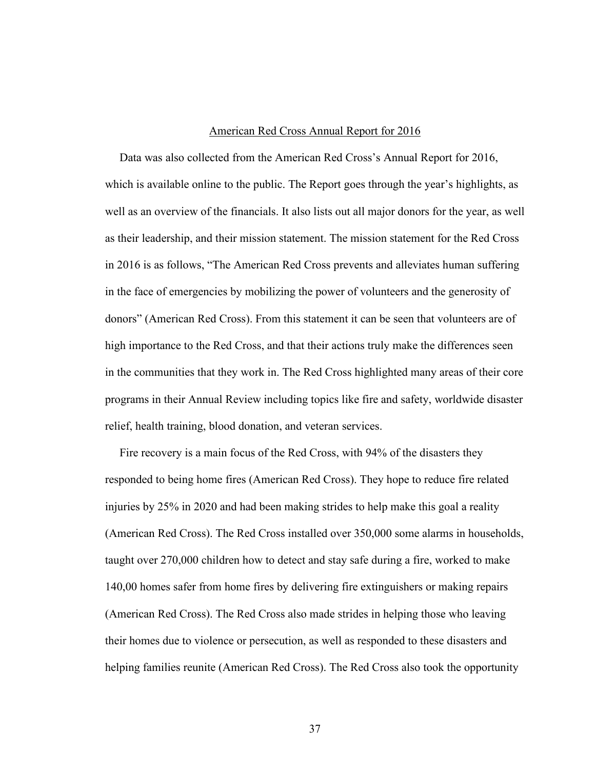#### American Red Cross Annual Report for 2016

 Data was also collected from the American Red Cross's Annual Report for 2016, which is available online to the public. The Report goes through the year's highlights, as well as an overview of the financials. It also lists out all major donors for the year, as well as their leadership, and their mission statement. The mission statement for the Red Cross in 2016 is as follows, "The American Red Cross prevents and alleviates human suffering in the face of emergencies by mobilizing the power of volunteers and the generosity of donors" (American Red Cross). From this statement it can be seen that volunteers are of high importance to the Red Cross, and that their actions truly make the differences seen in the communities that they work in. The Red Cross highlighted many areas of their core programs in their Annual Review including topics like fire and safety, worldwide disaster relief, health training, blood donation, and veteran services.

 Fire recovery is a main focus of the Red Cross, with 94% of the disasters they responded to being home fires (American Red Cross). They hope to reduce fire related injuries by 25% in 2020 and had been making strides to help make this goal a reality (American Red Cross). The Red Cross installed over 350,000 some alarms in households, taught over 270,000 children how to detect and stay safe during a fire, worked to make 140,00 homes safer from home fires by delivering fire extinguishers or making repairs (American Red Cross). The Red Cross also made strides in helping those who leaving their homes due to violence or persecution, as well as responded to these disasters and helping families reunite (American Red Cross). The Red Cross also took the opportunity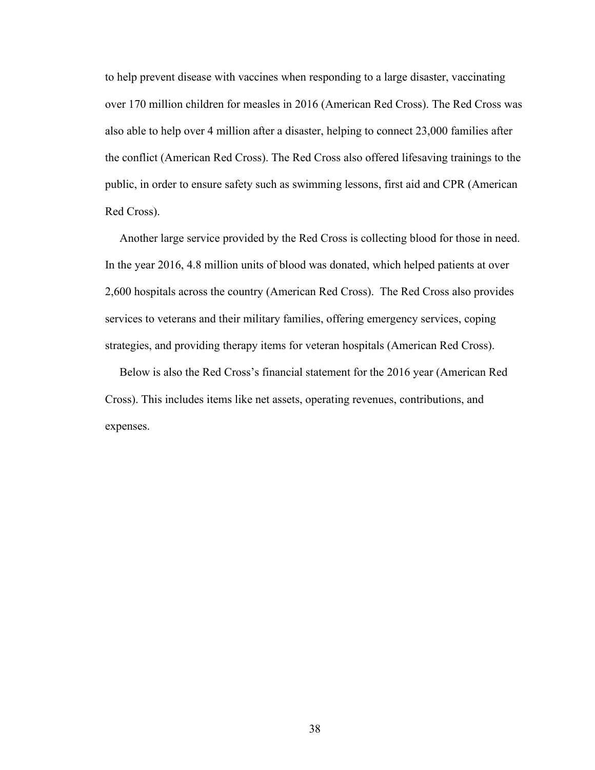to help prevent disease with vaccines when responding to a large disaster, vaccinating over 170 million children for measles in 2016 (American Red Cross). The Red Cross was also able to help over 4 million after a disaster, helping to connect 23,000 families after the conflict (American Red Cross). The Red Cross also offered lifesaving trainings to the public, in order to ensure safety such as swimming lessons, first aid and CPR (American Red Cross).

 Another large service provided by the Red Cross is collecting blood for those in need. In the year 2016, 4.8 million units of blood was donated, which helped patients at over 2,600 hospitals across the country (American Red Cross). The Red Cross also provides services to veterans and their military families, offering emergency services, coping strategies, and providing therapy items for veteran hospitals (American Red Cross).

 Below is also the Red Cross's financial statement for the 2016 year (American Red Cross). This includes items like net assets, operating revenues, contributions, and expenses.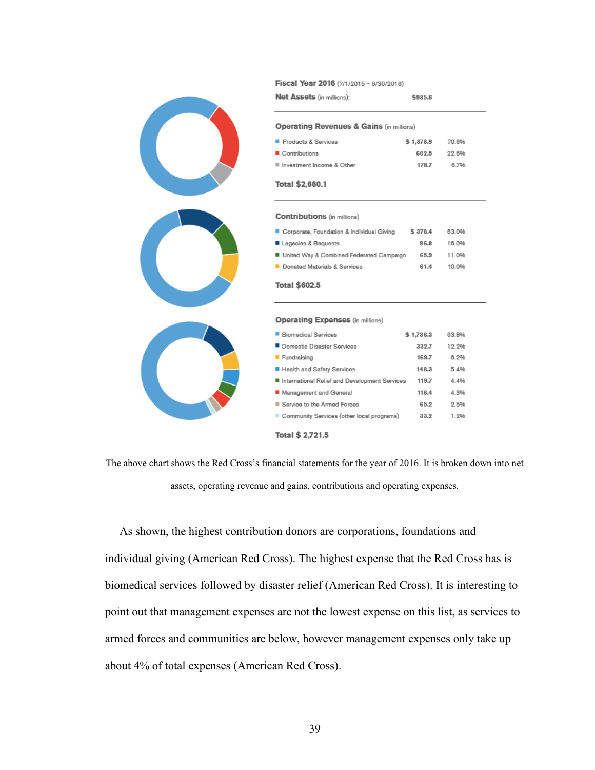Fiscal Year 2016 (7/1/2015 - 6/30/2016)

| <b>Net Assets</b> (in millions):                    | \$985.6   |       |  |  |  |
|-----------------------------------------------------|-----------|-------|--|--|--|
| <b>Operating Revenues &amp; Gains (in millions)</b> |           |       |  |  |  |
| Products & Services                                 | \$1,878.9 | 70.6% |  |  |  |
| Contributions                                       | 602.5     | 22.6% |  |  |  |
| ■ Investment Income & Other                         | 178.7     | 6.7%  |  |  |  |
| Total \$2,660.1                                     |           |       |  |  |  |

**Contributions** (in millions)

| Corporate, Foundation & Individual Giving | \$378.4 | 63.0% |
|-------------------------------------------|---------|-------|
| Legacies & Bequests                       | 96.8    | 16.0% |
| United Way & Combined Federated Campaign  | 65.9    | 11.0% |
| Donated Materials & Services              | 61.4    | 10.0% |
|                                           |         |       |

Total \$602.5

Operating Expenses (in millions)

| ■ Biomedical Services                         | \$1,736.3 | 63.8% |
|-----------------------------------------------|-----------|-------|
| Domestic Disaster Services                    | 339.7     | 12.2% |
| Fundraising                                   | 169.7     | 6.2%  |
| Health and Safety Services                    | 148.3     | 5.4%  |
| International Relief and Development Services | 119.7     | 4.4%  |
| Management and General                        | 116.4     | 4.3%  |
| Service to the Armed Forces                   | 65.2      | 2.5%  |
| Community Services (other local programs)     | 33.2      | 1 9%  |
|                                               |           |       |

Total \$ 2,721.5

The above chart shows the Red Cross's financial statements for the year of 2016. It is broken down into net assets, operating revenue and gains, contributions and operating expenses.

 As shown, the highest contribution donors are corporations, foundations and individual giving (American Red Cross). The highest expense that the Red Cross has is biomedical services followed by disaster relief (American Red Cross). It is interesting to point out that management expenses are not the lowest expense on this list, as services to armed forces and communities are below, however management expenses only take up about 4% of total expenses (American Red Cross).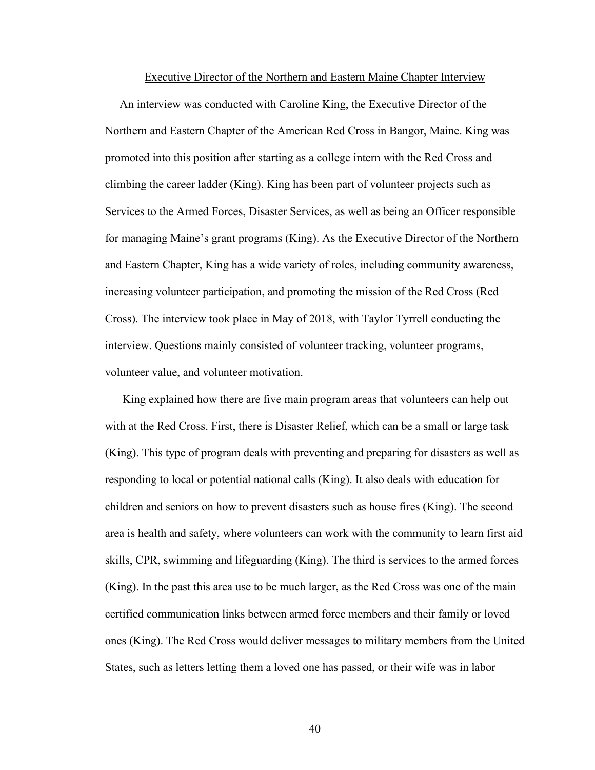#### Executive Director of the Northern and Eastern Maine Chapter Interview

 An interview was conducted with Caroline King, the Executive Director of the Northern and Eastern Chapter of the American Red Cross in Bangor, Maine. King was promoted into this position after starting as a college intern with the Red Cross and climbing the career ladder (King). King has been part of volunteer projects such as Services to the Armed Forces, Disaster Services, as well as being an Officer responsible for managing Maine's grant programs (King). As the Executive Director of the Northern and Eastern Chapter, King has a wide variety of roles, including community awareness, increasing volunteer participation, and promoting the mission of the Red Cross (Red Cross). The interview took place in May of 2018, with Taylor Tyrrell conducting the interview. Questions mainly consisted of volunteer tracking, volunteer programs, volunteer value, and volunteer motivation.

 King explained how there are five main program areas that volunteers can help out with at the Red Cross. First, there is Disaster Relief, which can be a small or large task (King). This type of program deals with preventing and preparing for disasters as well as responding to local or potential national calls (King). It also deals with education for children and seniors on how to prevent disasters such as house fires (King). The second area is health and safety, where volunteers can work with the community to learn first aid skills, CPR, swimming and lifeguarding (King). The third is services to the armed forces (King). In the past this area use to be much larger, as the Red Cross was one of the main certified communication links between armed force members and their family or loved ones (King). The Red Cross would deliver messages to military members from the United States, such as letters letting them a loved one has passed, or their wife was in labor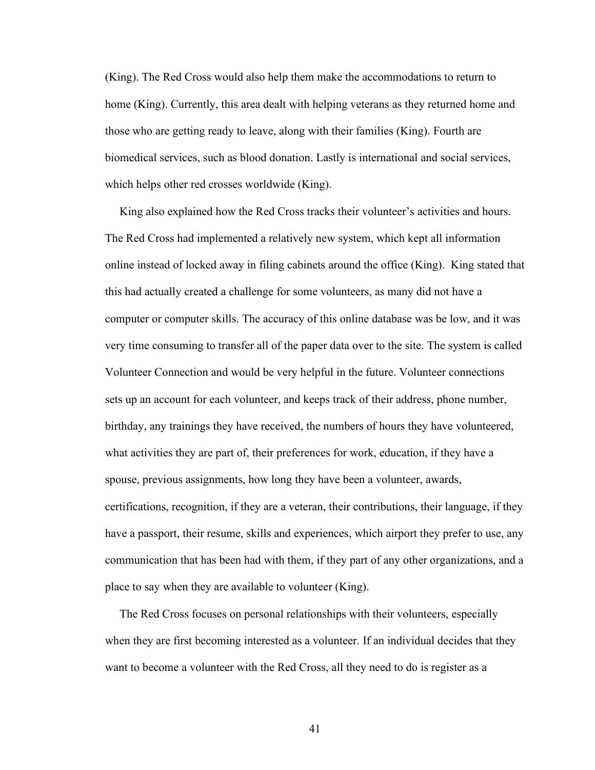(King). The Red Cross would also help them make the accommodations to return to home (King). Currently, this area dealt with helping veterans as they returned home and those who are getting ready to leave, along with their families (King). Fourth are biomedical services, such as blood donation. Lastly is international and social services, which helps other red crosses worldwide (King).

 King also explained how the Red Cross tracks their volunteer's activities and hours. The Red Cross had implemented a relatively new system, which kept all information online instead of locked away in filing cabinets around the office (King). King stated that this had actually created a challenge for some volunteers, as many did not have a computer or computer skills. The accuracy of this online database was be low, and it was very time consuming to transfer all of the paper data over to the site. The system is called Volunteer Connection and would be very helpful in the future. Volunteer connections sets up an account for each volunteer, and keeps track of their address, phone number, birthday, any trainings they have received, the numbers of hours they have volunteered, what activities they are part of, their preferences for work, education, if they have a spouse, previous assignments, how long they have been a volunteer, awards, certifications, recognition, if they are a veteran, their contributions, their language, if they have a passport, their resume, skills and experiences, which airport they prefer to use, any communication that has been had with them, if they part of any other organizations, and a place to say when they are available to volunteer (King).

 The Red Cross focuses on personal relationships with their volunteers, especially when they are first becoming interested as a volunteer. If an individual decides that they want to become a volunteer with the Red Cross, all they need to do is register as a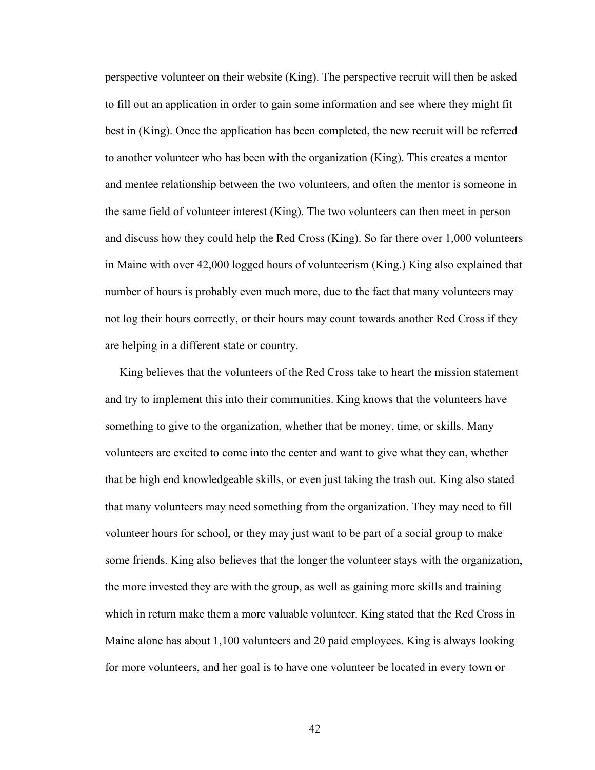perspective volunteer on their website (King). The perspective recruit will then be asked to fill out an application in order to gain some information and see where they might fit best in (King). Once the application has been completed, the new recruit will be referred to another volunteer who has been with the organization (King). This creates a mentor and mentee relationship between the two volunteers, and often the mentor is someone in the same field of volunteer interest (King). The two volunteers can then meet in person and discuss how they could help the Red Cross (King). So far there over 1,000 volunteers in Maine with over 42,000 logged hours of volunteerism (King.) King also explained that number of hours is probably even much more, due to the fact that many volunteers may not log their hours correctly, or their hours may count towards another Red Cross if they are helping in a different state or country.

 King believes that the volunteers of the Red Cross take to heart the mission statement and try to implement this into their communities. King knows that the volunteers have something to give to the organization, whether that be money, time, or skills. Many volunteers are excited to come into the center and want to give what they can, whether that be high end knowledgeable skills, or even just taking the trash out. King also stated that many volunteers may need something from the organization. They may need to fill volunteer hours for school, or they may just want to be part of a social group to make some friends. King also believes that the longer the volunteer stays with the organization, the more invested they are with the group, as well as gaining more skills and training which in return make them a more valuable volunteer. King stated that the Red Cross in Maine alone has about 1,100 volunteers and 20 paid employees. King is always looking for more volunteers, and her goal is to have one volunteer be located in every town or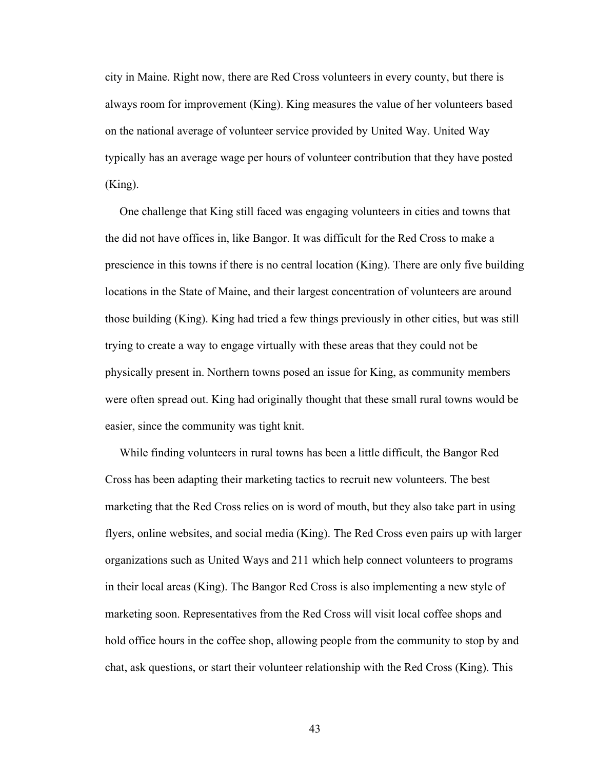city in Maine. Right now, there are Red Cross volunteers in every county, but there is always room for improvement (King). King measures the value of her volunteers based on the national average of volunteer service provided by United Way. United Way typically has an average wage per hours of volunteer contribution that they have posted (King).

 One challenge that King still faced was engaging volunteers in cities and towns that the did not have offices in, like Bangor. It was difficult for the Red Cross to make a prescience in this towns if there is no central location (King). There are only five building locations in the State of Maine, and their largest concentration of volunteers are around those building (King). King had tried a few things previously in other cities, but was still trying to create a way to engage virtually with these areas that they could not be physically present in. Northern towns posed an issue for King, as community members were often spread out. King had originally thought that these small rural towns would be easier, since the community was tight knit.

 While finding volunteers in rural towns has been a little difficult, the Bangor Red Cross has been adapting their marketing tactics to recruit new volunteers. The best marketing that the Red Cross relies on is word of mouth, but they also take part in using flyers, online websites, and social media (King). The Red Cross even pairs up with larger organizations such as United Ways and 211 which help connect volunteers to programs in their local areas (King). The Bangor Red Cross is also implementing a new style of marketing soon. Representatives from the Red Cross will visit local coffee shops and hold office hours in the coffee shop, allowing people from the community to stop by and chat, ask questions, or start their volunteer relationship with the Red Cross (King). This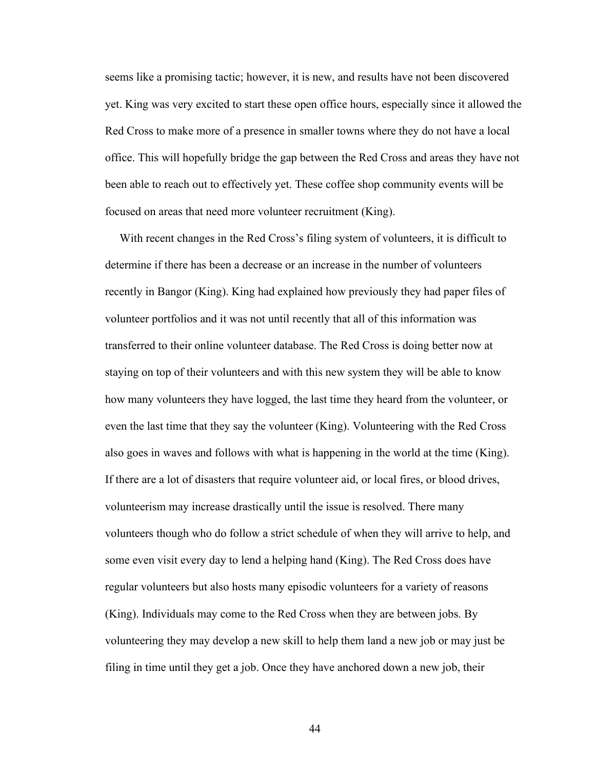seems like a promising tactic; however, it is new, and results have not been discovered yet. King was very excited to start these open office hours, especially since it allowed the Red Cross to make more of a presence in smaller towns where they do not have a local office. This will hopefully bridge the gap between the Red Cross and areas they have not been able to reach out to effectively yet. These coffee shop community events will be focused on areas that need more volunteer recruitment (King).

 With recent changes in the Red Cross's filing system of volunteers, it is difficult to determine if there has been a decrease or an increase in the number of volunteers recently in Bangor (King). King had explained how previously they had paper files of volunteer portfolios and it was not until recently that all of this information was transferred to their online volunteer database. The Red Cross is doing better now at staying on top of their volunteers and with this new system they will be able to know how many volunteers they have logged, the last time they heard from the volunteer, or even the last time that they say the volunteer (King). Volunteering with the Red Cross also goes in waves and follows with what is happening in the world at the time (King). If there are a lot of disasters that require volunteer aid, or local fires, or blood drives, volunteerism may increase drastically until the issue is resolved. There many volunteers though who do follow a strict schedule of when they will arrive to help, and some even visit every day to lend a helping hand (King). The Red Cross does have regular volunteers but also hosts many episodic volunteers for a variety of reasons (King). Individuals may come to the Red Cross when they are between jobs. By volunteering they may develop a new skill to help them land a new job or may just be filing in time until they get a job. Once they have anchored down a new job, their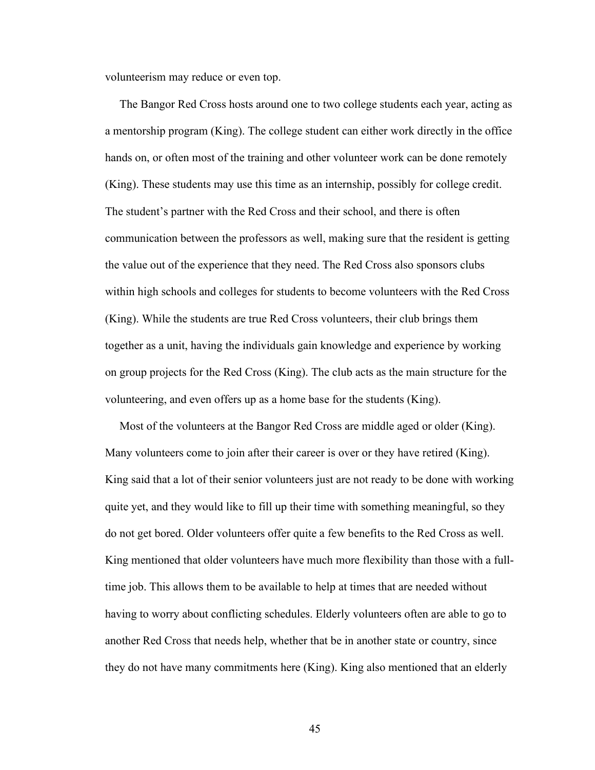volunteerism may reduce or even top.

 The Bangor Red Cross hosts around one to two college students each year, acting as a mentorship program (King). The college student can either work directly in the office hands on, or often most of the training and other volunteer work can be done remotely (King). These students may use this time as an internship, possibly for college credit. The student's partner with the Red Cross and their school, and there is often communication between the professors as well, making sure that the resident is getting the value out of the experience that they need. The Red Cross also sponsors clubs within high schools and colleges for students to become volunteers with the Red Cross (King). While the students are true Red Cross volunteers, their club brings them together as a unit, having the individuals gain knowledge and experience by working on group projects for the Red Cross (King). The club acts as the main structure for the volunteering, and even offers up as a home base for the students (King).

 Most of the volunteers at the Bangor Red Cross are middle aged or older (King). Many volunteers come to join after their career is over or they have retired (King). King said that a lot of their senior volunteers just are not ready to be done with working quite yet, and they would like to fill up their time with something meaningful, so they do not get bored. Older volunteers offer quite a few benefits to the Red Cross as well. King mentioned that older volunteers have much more flexibility than those with a fulltime job. This allows them to be available to help at times that are needed without having to worry about conflicting schedules. Elderly volunteers often are able to go to another Red Cross that needs help, whether that be in another state or country, since they do not have many commitments here (King). King also mentioned that an elderly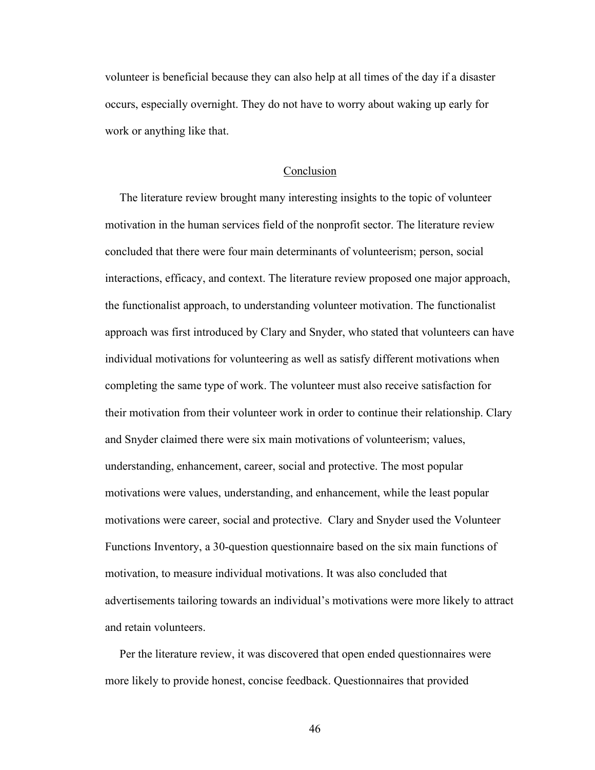volunteer is beneficial because they can also help at all times of the day if a disaster occurs, especially overnight. They do not have to worry about waking up early for work or anything like that.

# Conclusion

 The literature review brought many interesting insights to the topic of volunteer motivation in the human services field of the nonprofit sector. The literature review concluded that there were four main determinants of volunteerism; person, social interactions, efficacy, and context. The literature review proposed one major approach, the functionalist approach, to understanding volunteer motivation. The functionalist approach was first introduced by Clary and Snyder, who stated that volunteers can have individual motivations for volunteering as well as satisfy different motivations when completing the same type of work. The volunteer must also receive satisfaction for their motivation from their volunteer work in order to continue their relationship. Clary and Snyder claimed there were six main motivations of volunteerism; values, understanding, enhancement, career, social and protective. The most popular motivations were values, understanding, and enhancement, while the least popular motivations were career, social and protective. Clary and Snyder used the Volunteer Functions Inventory, a 30-question questionnaire based on the six main functions of motivation, to measure individual motivations. It was also concluded that advertisements tailoring towards an individual's motivations were more likely to attract and retain volunteers.

 Per the literature review, it was discovered that open ended questionnaires were more likely to provide honest, concise feedback. Questionnaires that provided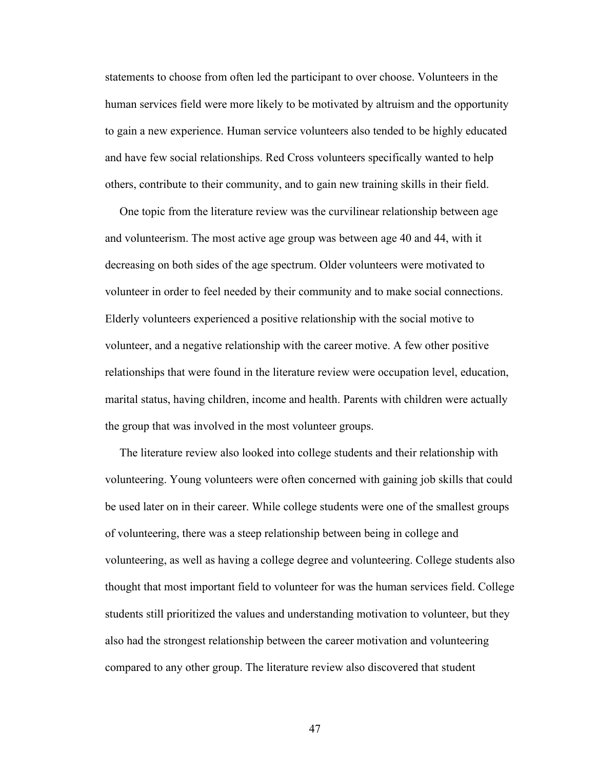statements to choose from often led the participant to over choose. Volunteers in the human services field were more likely to be motivated by altruism and the opportunity to gain a new experience. Human service volunteers also tended to be highly educated and have few social relationships. Red Cross volunteers specifically wanted to help others, contribute to their community, and to gain new training skills in their field.

 One topic from the literature review was the curvilinear relationship between age and volunteerism. The most active age group was between age 40 and 44, with it decreasing on both sides of the age spectrum. Older volunteers were motivated to volunteer in order to feel needed by their community and to make social connections. Elderly volunteers experienced a positive relationship with the social motive to volunteer, and a negative relationship with the career motive. A few other positive relationships that were found in the literature review were occupation level, education, marital status, having children, income and health. Parents with children were actually the group that was involved in the most volunteer groups.

 The literature review also looked into college students and their relationship with volunteering. Young volunteers were often concerned with gaining job skills that could be used later on in their career. While college students were one of the smallest groups of volunteering, there was a steep relationship between being in college and volunteering, as well as having a college degree and volunteering. College students also thought that most important field to volunteer for was the human services field. College students still prioritized the values and understanding motivation to volunteer, but they also had the strongest relationship between the career motivation and volunteering compared to any other group. The literature review also discovered that student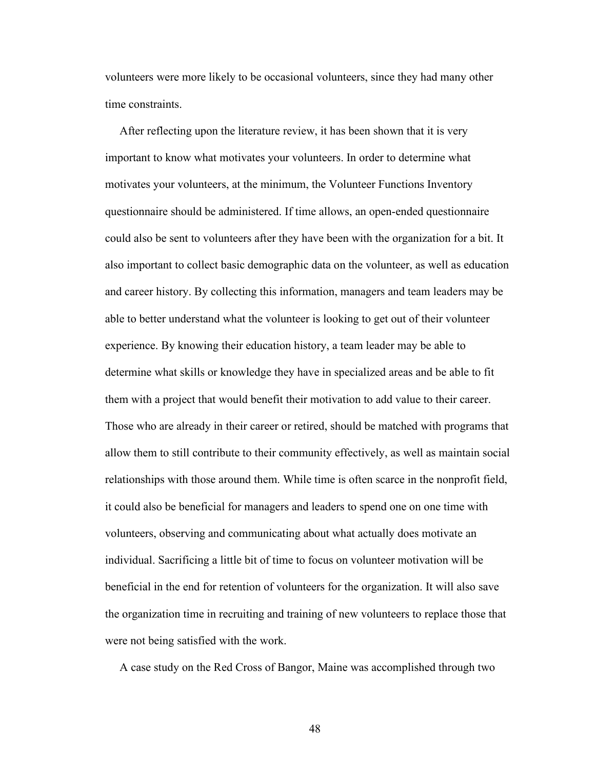volunteers were more likely to be occasional volunteers, since they had many other time constraints.

 After reflecting upon the literature review, it has been shown that it is very important to know what motivates your volunteers. In order to determine what motivates your volunteers, at the minimum, the Volunteer Functions Inventory questionnaire should be administered. If time allows, an open-ended questionnaire could also be sent to volunteers after they have been with the organization for a bit. It also important to collect basic demographic data on the volunteer, as well as education and career history. By collecting this information, managers and team leaders may be able to better understand what the volunteer is looking to get out of their volunteer experience. By knowing their education history, a team leader may be able to determine what skills or knowledge they have in specialized areas and be able to fit them with a project that would benefit their motivation to add value to their career. Those who are already in their career or retired, should be matched with programs that allow them to still contribute to their community effectively, as well as maintain social relationships with those around them. While time is often scarce in the nonprofit field, it could also be beneficial for managers and leaders to spend one on one time with volunteers, observing and communicating about what actually does motivate an individual. Sacrificing a little bit of time to focus on volunteer motivation will be beneficial in the end for retention of volunteers for the organization. It will also save the organization time in recruiting and training of new volunteers to replace those that were not being satisfied with the work.

A case study on the Red Cross of Bangor, Maine was accomplished through two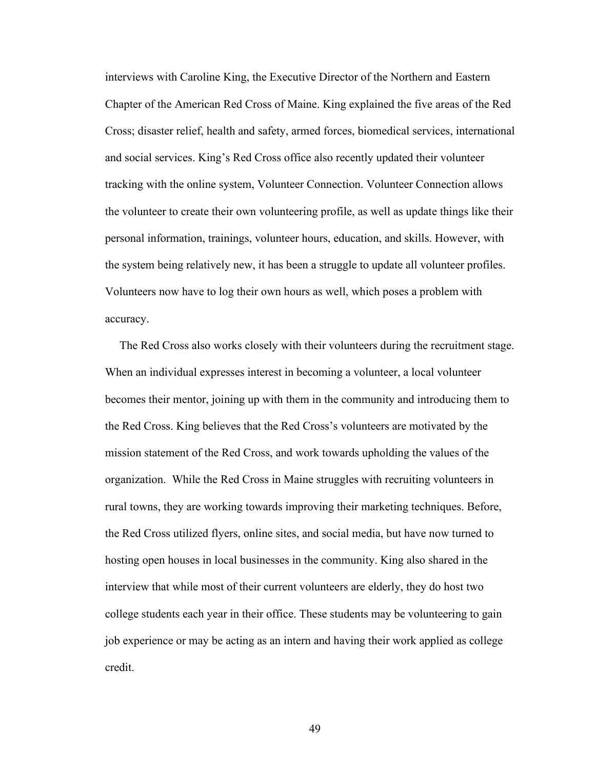interviews with Caroline King, the Executive Director of the Northern and Eastern Chapter of the American Red Cross of Maine. King explained the five areas of the Red Cross; disaster relief, health and safety, armed forces, biomedical services, international and social services. King's Red Cross office also recently updated their volunteer tracking with the online system, Volunteer Connection. Volunteer Connection allows the volunteer to create their own volunteering profile, as well as update things like their personal information, trainings, volunteer hours, education, and skills. However, with the system being relatively new, it has been a struggle to update all volunteer profiles. Volunteers now have to log their own hours as well, which poses a problem with accuracy.

 The Red Cross also works closely with their volunteers during the recruitment stage. When an individual expresses interest in becoming a volunteer, a local volunteer becomes their mentor, joining up with them in the community and introducing them to the Red Cross. King believes that the Red Cross's volunteers are motivated by the mission statement of the Red Cross, and work towards upholding the values of the organization. While the Red Cross in Maine struggles with recruiting volunteers in rural towns, they are working towards improving their marketing techniques. Before, the Red Cross utilized flyers, online sites, and social media, but have now turned to hosting open houses in local businesses in the community. King also shared in the interview that while most of their current volunteers are elderly, they do host two college students each year in their office. These students may be volunteering to gain job experience or may be acting as an intern and having their work applied as college credit.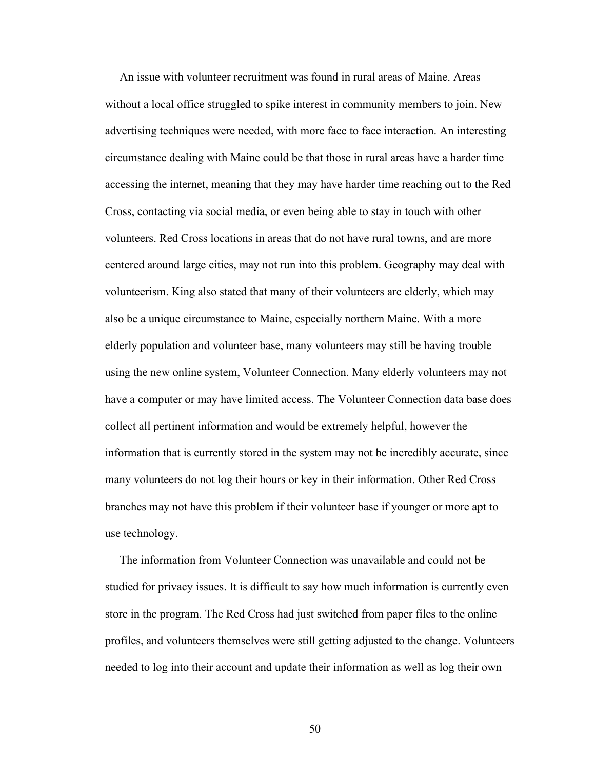An issue with volunteer recruitment was found in rural areas of Maine. Areas without a local office struggled to spike interest in community members to join. New advertising techniques were needed, with more face to face interaction. An interesting circumstance dealing with Maine could be that those in rural areas have a harder time accessing the internet, meaning that they may have harder time reaching out to the Red Cross, contacting via social media, or even being able to stay in touch with other volunteers. Red Cross locations in areas that do not have rural towns, and are more centered around large cities, may not run into this problem. Geography may deal with volunteerism. King also stated that many of their volunteers are elderly, which may also be a unique circumstance to Maine, especially northern Maine. With a more elderly population and volunteer base, many volunteers may still be having trouble using the new online system, Volunteer Connection. Many elderly volunteers may not have a computer or may have limited access. The Volunteer Connection data base does collect all pertinent information and would be extremely helpful, however the information that is currently stored in the system may not be incredibly accurate, since many volunteers do not log their hours or key in their information. Other Red Cross branches may not have this problem if their volunteer base if younger or more apt to use technology.

 The information from Volunteer Connection was unavailable and could not be studied for privacy issues. It is difficult to say how much information is currently even store in the program. The Red Cross had just switched from paper files to the online profiles, and volunteers themselves were still getting adjusted to the change. Volunteers needed to log into their account and update their information as well as log their own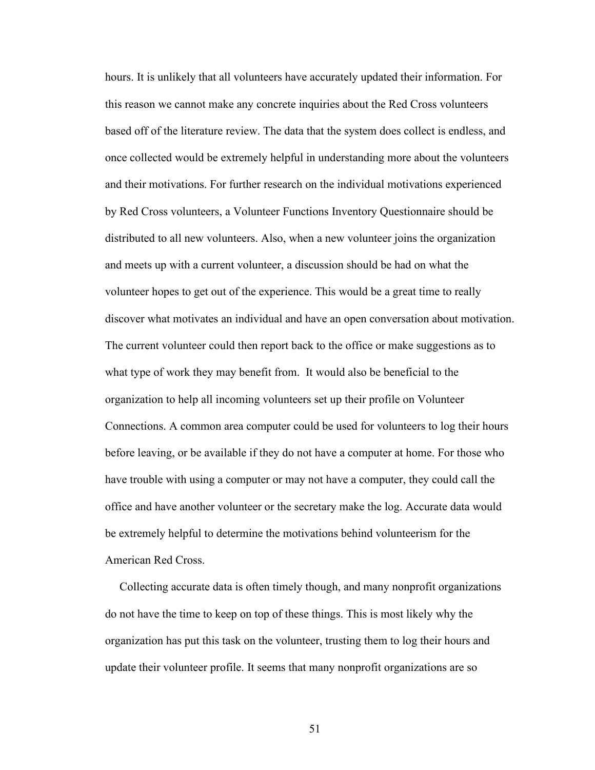hours. It is unlikely that all volunteers have accurately updated their information. For this reason we cannot make any concrete inquiries about the Red Cross volunteers based off of the literature review. The data that the system does collect is endless, and once collected would be extremely helpful in understanding more about the volunteers and their motivations. For further research on the individual motivations experienced by Red Cross volunteers, a Volunteer Functions Inventory Questionnaire should be distributed to all new volunteers. Also, when a new volunteer joins the organization and meets up with a current volunteer, a discussion should be had on what the volunteer hopes to get out of the experience. This would be a great time to really discover what motivates an individual and have an open conversation about motivation. The current volunteer could then report back to the office or make suggestions as to what type of work they may benefit from. It would also be beneficial to the organization to help all incoming volunteers set up their profile on Volunteer Connections. A common area computer could be used for volunteers to log their hours before leaving, or be available if they do not have a computer at home. For those who have trouble with using a computer or may not have a computer, they could call the office and have another volunteer or the secretary make the log. Accurate data would be extremely helpful to determine the motivations behind volunteerism for the American Red Cross.

 Collecting accurate data is often timely though, and many nonprofit organizations do not have the time to keep on top of these things. This is most likely why the organization has put this task on the volunteer, trusting them to log their hours and update their volunteer profile. It seems that many nonprofit organizations are so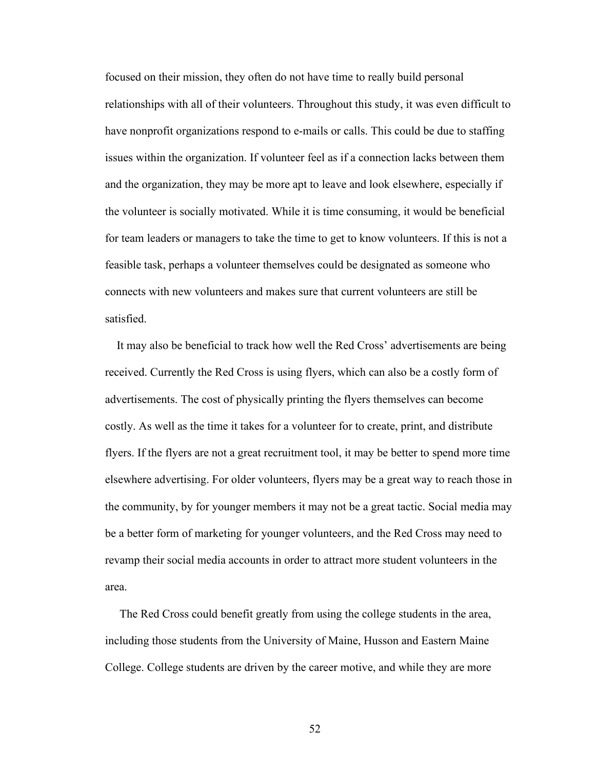focused on their mission, they often do not have time to really build personal relationships with all of their volunteers. Throughout this study, it was even difficult to have nonprofit organizations respond to e-mails or calls. This could be due to staffing issues within the organization. If volunteer feel as if a connection lacks between them and the organization, they may be more apt to leave and look elsewhere, especially if the volunteer is socially motivated. While it is time consuming, it would be beneficial for team leaders or managers to take the time to get to know volunteers. If this is not a feasible task, perhaps a volunteer themselves could be designated as someone who connects with new volunteers and makes sure that current volunteers are still be satisfied.

 It may also be beneficial to track how well the Red Cross' advertisements are being received. Currently the Red Cross is using flyers, which can also be a costly form of advertisements. The cost of physically printing the flyers themselves can become costly. As well as the time it takes for a volunteer for to create, print, and distribute flyers. If the flyers are not a great recruitment tool, it may be better to spend more time elsewhere advertising. For older volunteers, flyers may be a great way to reach those in the community, by for younger members it may not be a great tactic. Social media may be a better form of marketing for younger volunteers, and the Red Cross may need to revamp their social media accounts in order to attract more student volunteers in the area.

 The Red Cross could benefit greatly from using the college students in the area, including those students from the University of Maine, Husson and Eastern Maine College. College students are driven by the career motive, and while they are more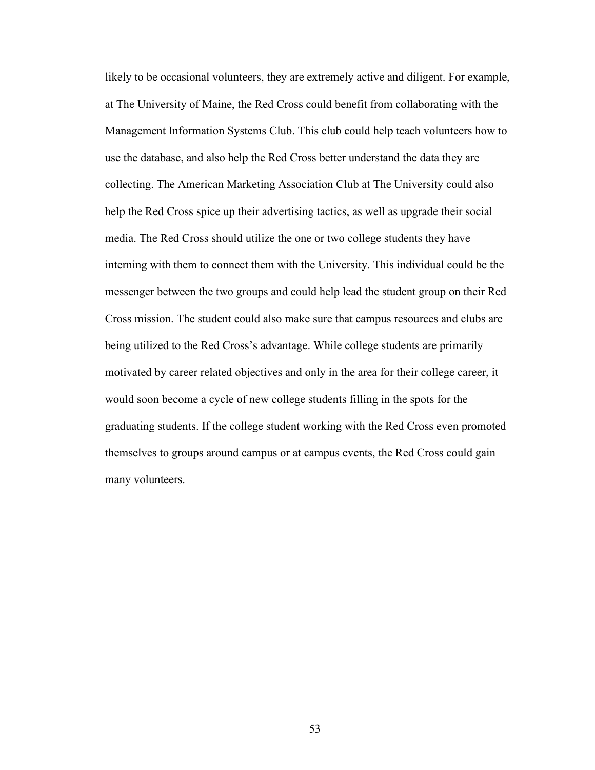likely to be occasional volunteers, they are extremely active and diligent. For example, at The University of Maine, the Red Cross could benefit from collaborating with the Management Information Systems Club. This club could help teach volunteers how to use the database, and also help the Red Cross better understand the data they are collecting. The American Marketing Association Club at The University could also help the Red Cross spice up their advertising tactics, as well as upgrade their social media. The Red Cross should utilize the one or two college students they have interning with them to connect them with the University. This individual could be the messenger between the two groups and could help lead the student group on their Red Cross mission. The student could also make sure that campus resources and clubs are being utilized to the Red Cross's advantage. While college students are primarily motivated by career related objectives and only in the area for their college career, it would soon become a cycle of new college students filling in the spots for the graduating students. If the college student working with the Red Cross even promoted themselves to groups around campus or at campus events, the Red Cross could gain many volunteers.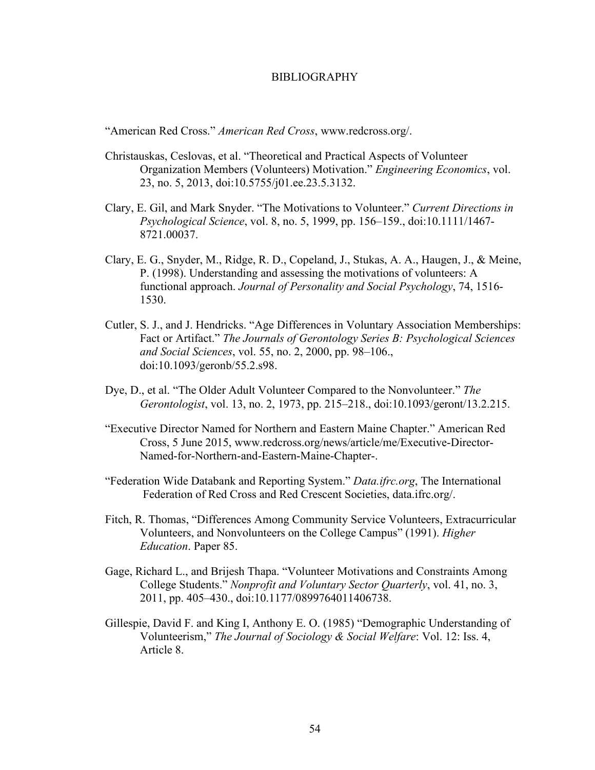#### BIBLIOGRAPHY

"American Red Cross." *American Red Cross*, www.redcross.org/.

- Christauskas, Ceslovas, et al. "Theoretical and Practical Aspects of Volunteer Organization Members (Volunteers) Motivation." *Engineering Economics*, vol. 23, no. 5, 2013, doi:10.5755/j01.ee.23.5.3132.
- Clary, E. Gil, and Mark Snyder. "The Motivations to Volunteer." *Current Directions in Psychological Science*, vol. 8, no. 5, 1999, pp. 156–159., doi:10.1111/1467- 8721.00037.
- Clary, E. G., Snyder, M., Ridge, R. D., Copeland, J., Stukas, A. A., Haugen, J., & Meine, P. (1998). Understanding and assessing the motivations of volunteers: A functional approach. *Journal of Personality and Social Psychology*, 74, 1516- 1530.
- Cutler, S. J., and J. Hendricks. "Age Differences in Voluntary Association Memberships: Fact or Artifact." *The Journals of Gerontology Series B: Psychological Sciences and Social Sciences*, vol. 55, no. 2, 2000, pp. 98–106., doi:10.1093/geronb/55.2.s98.
- Dye, D., et al. "The Older Adult Volunteer Compared to the Nonvolunteer." *The Gerontologist*, vol. 13, no. 2, 1973, pp. 215–218., doi:10.1093/geront/13.2.215.
- "Executive Director Named for Northern and Eastern Maine Chapter." American Red Cross, 5 June 2015, www.redcross.org/news/article/me/Executive-Director-Named-for-Northern-and-Eastern-Maine-Chapter-.
- "Federation Wide Databank and Reporting System." *Data.ifrc.org*, The International Federation of Red Cross and Red Crescent Societies, data.ifrc.org/.
- Fitch, R. Thomas, "Differences Among Community Service Volunteers, Extracurricular Volunteers, and Nonvolunteers on the College Campus" (1991). *Higher Education*. Paper 85.
- Gage, Richard L., and Brijesh Thapa. "Volunteer Motivations and Constraints Among College Students." *Nonprofit and Voluntary Sector Quarterly*, vol. 41, no. 3, 2011, pp. 405–430., doi:10.1177/0899764011406738.
- Gillespie, David F. and King I, Anthony E. O. (1985) "Demographic Understanding of Volunteerism," *The Journal of Sociology & Social Welfare*: Vol. 12: Iss. 4, Article 8.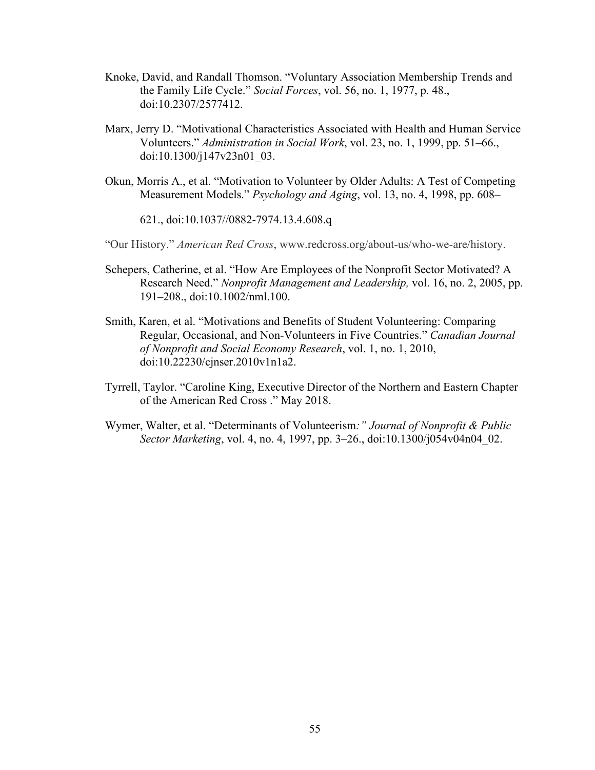- Knoke, David, and Randall Thomson. "Voluntary Association Membership Trends and the Family Life Cycle." *Social Forces*, vol. 56, no. 1, 1977, p. 48., doi:10.2307/2577412.
- Marx, Jerry D. "Motivational Characteristics Associated with Health and Human Service Volunteers." *Administration in Social Work*, vol. 23, no. 1, 1999, pp. 51–66., doi:10.1300/j147v23n01\_03.
- Okun, Morris A., et al. "Motivation to Volunteer by Older Adults: A Test of Competing Measurement Models." *Psychology and Aging*, vol. 13, no. 4, 1998, pp. 608–

621., doi:10.1037//0882-7974.13.4.608.q

"Our History." *American Red Cross*, www.redcross.org/about-us/who-we-are/history.

- Schepers, Catherine, et al. "How Are Employees of the Nonprofit Sector Motivated? A Research Need." *Nonprofit Management and Leadership,* vol. 16, no. 2, 2005, pp. 191–208., doi:10.1002/nml.100.
- Smith, Karen, et al. "Motivations and Benefits of Student Volunteering: Comparing Regular, Occasional, and Non-Volunteers in Five Countries." *Canadian Journal of Nonprofit and Social Economy Research*, vol. 1, no. 1, 2010, doi:10.22230/cjnser.2010v1n1a2.
- Tyrrell, Taylor. "Caroline King, Executive Director of the Northern and Eastern Chapter of the American Red Cross ." May 2018.
- Wymer, Walter, et al. "Determinants of Volunteerism*:" Journal of Nonprofit & Public Sector Marketing*, vol. 4, no. 4, 1997, pp. 3–26., doi:10.1300/j054v04n04\_02.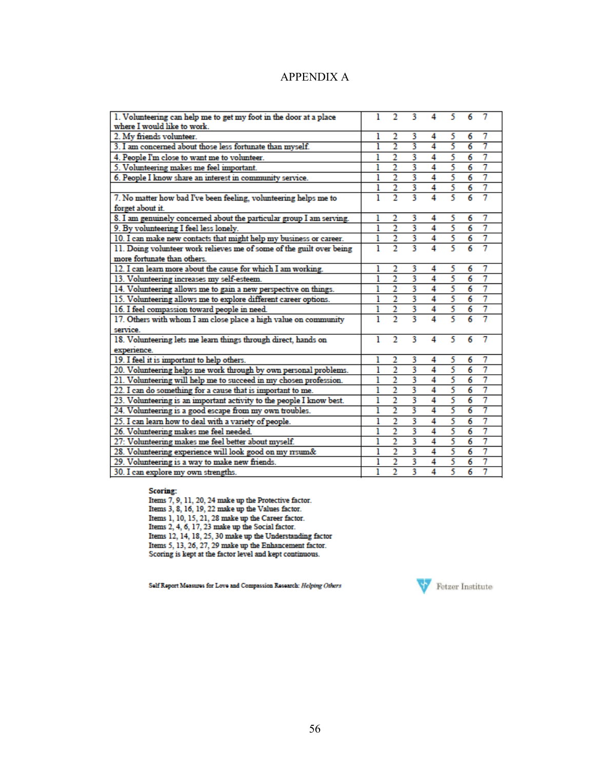| <b>APPENDIX A</b> |  |
|-------------------|--|
|-------------------|--|

| 1. Volunteering can help me to get my foot in the door at a place<br>where I would like to work. |   | 2              | 3 | 4 | 5 | 6              | 7 |
|--------------------------------------------------------------------------------------------------|---|----------------|---|---|---|----------------|---|
| 2. My friends volunteer.                                                                         | 1 | 2              | 3 | 4 | 5 | 6              | 7 |
| 3. I am concerned about those less fortunate than myself.                                        | ı | $\overline{2}$ | 3 | 4 | 5 | 6              | 7 |
| 4. People I'm close to want me to volunteer.                                                     | ı | 2              | 3 | 4 | 5 | 6              | 7 |
| 5. Volunteering makes me feel important.                                                         | ı | $\overline{2}$ | 3 | 4 | 5 | 6              | 7 |
| 6. People I know share an interest in community service.                                         | ı | $\overline{2}$ | 3 | 4 | 5 | 6              | 7 |
|                                                                                                  | ı | $\overline{2}$ | 3 | 4 | 5 | 6              | 7 |
| 7. No matter how bad I've been feeling, volunteering helps me to                                 | 1 | $\overline{2}$ | 3 | 4 | 5 | 6              | 7 |
| forget about it.                                                                                 |   |                |   |   |   |                |   |
| 8. I am genuinely concerned about the particular group I am serving.                             | ı | 2              | 3 | 4 | 5 | 6              | 7 |
| 9. By volunteering I feel less lonely.                                                           | ı | $\overline{2}$ | 3 | 4 | 5 | $\overline{6}$ | 7 |
| 10. I can make new contacts that might help my business or career.                               | ı | 2              | 3 | 4 | 5 | 6              | 7 |
| 11. Doing volunteer work relieves me of some of the guilt over being                             | ı | $\overline{2}$ | 3 | 4 | 5 | 6              | 7 |
| more fortunate than others.                                                                      |   |                |   |   |   |                |   |
| 12. I can learn more about the cause for which I am working.                                     | ı | 2              | 3 | 4 | 5 | 6              | 7 |
| 13. Volunteering increases my self-esteem.                                                       | ı | 2              | 3 | 4 | 5 | 6              | 7 |
| 14. Volunteering allows me to gain a new perspective on things.                                  | ı | $\overline{2}$ | 3 | 4 | 5 | 6              | 7 |
| 15. Volunteering allows me to explore different career options.                                  | ı | $\overline{2}$ | 3 | 4 | 5 | 6              | 7 |
| 16. I feel compassion toward people in need.                                                     | ı | $\overline{2}$ | 3 | 4 | 5 | 6              | 7 |
| 17. Others with whom I am close place a high value on community                                  | 1 | $\overline{2}$ | 3 | 4 | 5 | 6              | 7 |
| service.                                                                                         |   |                |   |   |   |                |   |
| 18. Volunteering lets me learn things through direct, hands on                                   | 1 | $\overline{2}$ | 3 | 4 | 5 | 6              | 7 |
| experience.                                                                                      |   |                |   |   |   |                |   |
| 19. I feel it is important to help others.                                                       | ı | 2              | 3 | 4 | 5 | 6              | 7 |
| 20. Volunteering helps me work through by own personal problems.                                 | ı | $\overline{2}$ | 3 | 4 | 5 | 6              | 7 |
| 21. Volunteering will help me to succeed in my chosen profession.                                | ı | $\overline{2}$ | 3 | 4 | 5 | 6              | 7 |
| 22. I can do something for a cause that is important to me.                                      | ı | $\overline{2}$ | 3 | 4 | 5 | 6              | 7 |
| 23. Volunteering is an important activity to the people I know best.                             | ı | 2              | 3 | 4 | 5 | 6              | 7 |
| 24. Volunteering is a good escape from my own troubles.                                          |   | 2              | 3 | 4 | 5 | 6              | 7 |
| 25. I can learn how to deal with a variety of people.                                            | ı | 2              | 3 | 4 | 5 | 6              | 7 |
| 26. Volunteering makes me feel needed.                                                           | ı | $\overline{2}$ | 3 | 4 | 5 | 6              | 7 |
| 27: Volunteering makes me feel better about myself.                                              | ı | 2              | 3 | 4 | 5 | 6              | 7 |
| 28. Volunteering experience will look good on my rrsum&                                          | ı | $\overline{2}$ | 3 | 4 | 5 | 6              | 7 |
| 29. Volunteering is a way to make new friends.                                                   | ı | 2              | 3 | 4 | 5 | 6              | 7 |
| 30. I can explore my own strengths.                                                              | ı | $\overline{2}$ | 3 | 4 | 5 | 6              | 7 |
|                                                                                                  |   |                |   |   |   |                |   |

Scoring:<br>
Items 7, 9, 11, 20, 24 make up the Protective factor.<br>
Items 3, 8, 16, 19, 22 make up the Values factor.<br>
Items 1, 10, 15, 21, 28 make up the Career factor.<br>
Items 2, 4, 6, 17, 23 make up the Social factor.<br>
Ite

Solf Report Measures for Love and Compassion Research: Helping Others